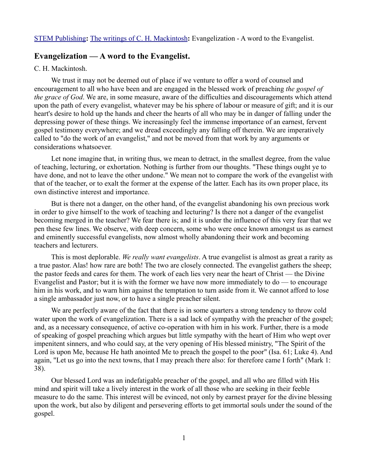# **Evangelization — A word to the Evangelist.**

### C. H. Mackintosh.

We trust it may not be deemed out of place if we venture to offer a word of counsel and encouragement to all who have been and are engaged in the blessed work of preaching *the gospel of the grace of God*. We are, in some measure, aware of the difficulties and discouragements which attend upon the path of every evangelist, whatever may be his sphere of labour or measure of gift; and it is our heart's desire to hold up the hands and cheer the hearts of all who may be in danger of falling under the depressing power of these things. We increasingly feel the immense importance of an earnest, fervent gospel testimony everywhere; and we dread exceedingly any falling off therein. We are imperatively called to "do the work of an evangelist," and not be moved from that work by any arguments or considerations whatsoever.

Let none imagine that, in writing thus, we mean to detract, in the smallest degree, from the value of teaching, lecturing, or exhortation. Nothing is further from our thoughts. "These things ought ye to have done, and not to leave the other undone." We mean not to compare the work of the evangelist with that of the teacher, or to exalt the former at the expense of the latter. Each has its own proper place, its own distinctive interest and importance.

But is there not a danger, on the other hand, of the evangelist abandoning his own precious work in order to give himself to the work of teaching and lecturing? Is there not a danger of the evangelist becoming merged in the teacher? We fear there is; and it is under the influence of this very fear that we pen these few lines. We observe, with deep concern, some who were once known amongst us as earnest and eminently successful evangelists, now almost wholly abandoning their work and becoming teachers and lecturers.

This is most deplorable. *We really want evangelists*. A true evangelist is almost as great a rarity as a true pastor. Alas! how rare are both! The two are closely connected. The evangelist gathers the sheep; the pastor feeds and cares for them. The work of each lies very near the heart of Christ — the Divine Evangelist and Pastor; but it is with the former we have now more immediately to do — to encourage him in his work, and to warn him against the temptation to turn aside from it. We cannot afford to lose a single ambassador just now, or to have a single preacher silent.

We are perfectly aware of the fact that there is in some quarters a strong tendency to throw cold water upon the work of evangelization. There is a sad lack of sympathy with the preacher of the gospel; and, as a necessary consequence, of active co-operation with him in his work. Further, there is a mode of speaking of gospel preaching which argues but little sympathy with the heart of Him who wept over impenitent sinners, and who could say, at the very opening of His blessed ministry, "The Spirit of the Lord is upon Me, because He hath anointed Me to preach the gospel to the poor" (Isa. 61; Luke 4). And again, "Let us go into the next towns, that I may preach there also: for therefore came I forth" (Mark 1: 38).

Our blessed Lord was an indefatigable preacher of the gospel, and all who are filled with His mind and spirit will take a lively interest in the work of all those who are seeking in their feeble measure to do the same. This interest will be evinced, not only by earnest prayer for the divine blessing upon the work, but also by diligent and persevering efforts to get immortal souls under the sound of the gospel.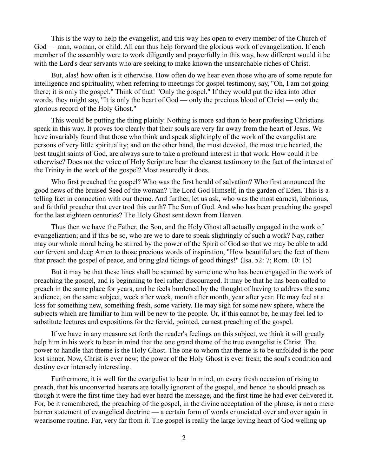This is the way to help the evangelist, and this way lies open to every member of the Church of God — man, woman, or child. All can thus help forward the glorious work of evangelization. If each member of the assembly were to work diligently and prayerfully in this way, how different would it be with the Lord's dear servants who are seeking to make known the unsearchable riches of Christ.

But, alas! how often is it otherwise. How often do we hear even those who are of some repute for intelligence and spirituality, when referring to meetings for gospel testimony, say, "Oh, I am not going there; it is only the gospel." Think of that! "Only the gospel." If they would put the idea into other words, they might say, "It is only the heart of God — only the precious blood of Christ — only the glorious record of the Holy Ghost."

This would be putting the thing plainly. Nothing is more sad than to hear professing Christians speak in this way. It proves too clearly that their souls are very far away from the heart of Jesus. We have invariably found that those who think and speak slightingly of the work of the evangelist are persons of very little spirituality; and on the other hand, the most devoted, the most true hearted, the best taught saints of God, are always sure to take a profound interest in that work. How could it be otherwise? Does not the voice of Holy Scripture bear the clearest testimony to the fact of the interest of the Trinity in the work of the gospel? Most assuredly it does.

Who first preached the gospel? Who was the first herald of salvation? Who first announced the good news of the bruised Seed of the woman? The Lord God Himself, in the garden of Eden. This is a telling fact in connection with our theme. And further, let us ask, who was the most earnest, laborious, and faithful preacher that ever trod this earth? The Son of God. And who has been preaching the gospel for the last eighteen centuries? The Holy Ghost sent down from Heaven.

Thus then we have the Father, the Son, and the Holy Ghost all actually engaged in the work of evangelization; and if this be so, who are we to dare to speak slightingly of such a work? Nay, rather may our whole moral being be stirred by the power of the Spirit of God so that we may be able to add our fervent and deep Amen to those precious words of inspiration, "How beautiful are the feet of them that preach the gospel of peace, and bring glad tidings of good things!" (Isa. 52: 7; Rom. 10: 15)

But it may be that these lines shall be scanned by some one who has been engaged in the work of preaching the gospel, and is beginning to feel rather discouraged. It may be that he has been called to preach in the same place for years, and he feels burdened by the thought of having to address the same audience, on the same subject, week after week, month after month, year after year. He may feel at a loss for something new, something fresh, some variety. He may sigh for some new sphere, where the subjects which are familiar to him will be new to the people. Or, if this cannot be, he may feel led to substitute lectures and expositions for the fervid, pointed, earnest preaching of the gospel.

If we have in any measure set forth the reader's feelings on this subject, we think it will greatly help him in his work to bear in mind that the one grand theme of the true evangelist is Christ. The power to handle that theme is the Holy Ghost. The one to whom that theme is to be unfolded is the poor lost sinner. Now, Christ is ever new; the power of the Holy Ghost is ever fresh; the soul's condition and destiny ever intensely interesting.

Furthermore, it is well for the evangelist to bear in mind, on every fresh occasion of rising to preach, that his unconverted hearers are totally ignorant of the gospel, and hence he should preach as though it were the first time they had ever heard the message, and the first time he had ever delivered it. For, be it remembered, the preaching of the gospel, in the divine acceptation of the phrase, is not a mere barren statement of evangelical doctrine — a certain form of words enunciated over and over again in wearisome routine. Far, very far from it. The gospel is really the large loving heart of God welling up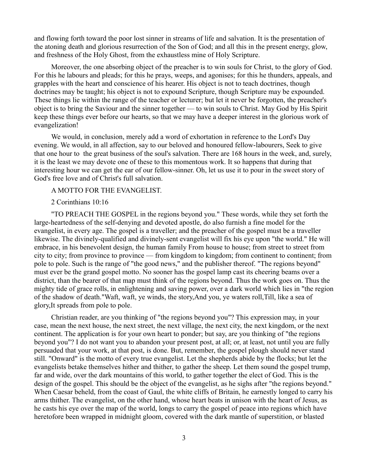and flowing forth toward the poor lost sinner in streams of life and salvation. It is the presentation of the atoning death and glorious resurrection of the Son of God; and all this in the present energy, glow, and freshness of the Holy Ghost, from the exhaustless mine of Holy Scripture.

Moreover, the one absorbing object of the preacher is to win souls for Christ, to the glory of God. For this he labours and pleads; for this he prays, weeps, and agonises; for this he thunders, appeals, and grapples with the heart and conscience of his hearer. His object is not to teach doctrines, though doctrines may be taught; his object is not to expound Scripture, though Scripture may be expounded. These things lie within the range of the teacher or lecturer; but let it never be forgotten, the preacher's object is to bring the Saviour and the sinner together — to win souls to Christ. May God by His Spirit keep these things ever before our hearts, so that we may have a deeper interest in the glorious work of evangelization!

We would, in conclusion, merely add a word of exhortation in reference to the Lord's Day evening. We would, in all affection, say to our beloved and honoured fellow-labourers, Seek to give that one hour to the great business of the soul's salvation. There are 168 hours in the week, and, surely, it is the least we may devote one of these to this momentous work. It so happens that during that interesting hour we can get the ear of our fellow-sinner. Oh, let us use it to pour in the sweet story of God's free love and of Christ's full salvation.

## A MOTTO FOR THE EVANGELIST.

#### 2 Corinthians 10:16

"TO PREACH THE GOSPEL in the regions beyond you." These words, while they set forth the large-heartedness of the self-denying and devoted apostle, do also furnish a fine model for the evangelist, in every age. The gospel is a traveller; and the preacher of the gospel must be a traveller likewise. The divinely-qualified and divinely-sent evangelist will fix his eye upon "the world." He will embrace, in his benevolent design, the human family From house to house; from street to street from city to city; from province to province — from kingdom to kingdom; from continent to continent; from pole to pole. Such is the range of "the good news," and the publisher thereof. "The regions beyond" must ever be the grand gospel motto. No sooner has the gospel lamp cast its cheering beams over a district, than the bearer of that map must think of the regions beyond. Thus the work goes on. Thus the mighty tide of grace rolls, in enlightening and saving power, over a dark world which lies in "the region of the shadow of death."Waft, waft, ye winds, the story,And you, ye waters roll,Till, like a sea of glory,It spreads from pole to pole.

Christian reader, are you thinking of "the regions beyond you"? This expression may, in your case, mean the next house, the next street, the next village, the next city, the next kingdom, or the next continent. The application is for your own heart to ponder; but say, are you thinking of "the regions beyond you"? I do not want you to abandon your present post, at all; or, at least, not until you are fully persuaded that your work, at that post, is done. But, remember, the gospel plough should never stand still. "Onward" is the motto of every true evangelist. Let the shepherds abide by the flocks; but let the evangelists betake themselves hither and thither, to gather the sheep. Let them sound the gospel trump, far and wide, over the dark mountains of this world, to gather together the elect of God. This is the design of the gospel. This should be the object of the evangelist, as he sighs after "the regions beyond." When Caesar beheld, from the coast of Gaul, the white cliffs of Britain, he earnestly longed to carry his arms thither. The evangelist, on the other hand, whose heart beats in unison with the heart of Jesus, as he casts his eye over the map of the world, longs to carry the gospel of peace into regions which have heretofore been wrapped in midnight gloom, covered with the dark mantle of superstition, or blasted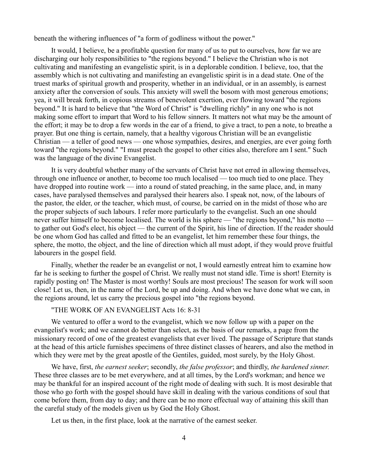beneath the withering influences of "a form of godliness without the power."

It would, I believe, be a profitable question for many of us to put to ourselves, how far we are discharging our holy responsibilities to "the regions beyond." I believe the Christian who is not cultivating and manifesting an evangelistic spirit, is in a deplorable condition. I believe, too, that the assembly which is not cultivating and manifesting an evangelistic spirit is in a dead state. One of the truest marks of spiritual growth and prosperity, whether in an individual, or in an assembly, is earnest anxiety after the conversion of souls. This anxiety will swell the bosom with most generous emotions; yea, it will break forth, in copious streams of benevolent exertion, ever flowing toward "the regions beyond." It is hard to believe that "the Word of Christ" is "dwelling richly" in any one who is not making some effort to impart that Word to his fellow sinners. It matters not what may be the amount of the effort; it may be to drop a few words in the ear of a friend, to give a tract, to pen a note, to breathe a prayer. But one thing is certain, namely, that a healthy vigorous Christian will be an evangelistic Christian — a teller of good news — one whose sympathies, desires, and energies, are ever going forth toward "the regions beyond." "I must preach the gospel to other cities also, therefore am I sent." Such was the language of the divine Evangelist.

It is very doubtful whether many of the servants of Christ have not erred in allowing themselves, through one influence or another, to become too much localised — too much tied to one place. They have dropped into routine work — into a round of stated preaching, in the same place, and, in many cases, have paralysed themselves and paralysed their hearers also. I speak not, now, of the labours of the pastor, the elder, or the teacher, which must, of course, be carried on in the midst of those who are the proper subjects of such labours. I refer more particularly to the evangelist. Such an one should never suffer himself to become localised. The world is his sphere — "the regions beyond," his motto to gather out God's elect, his object — the current of the Spirit, his line of direction. If the reader should be one whom God has called and fitted to be an evangelist, let him remember these four things, the sphere, the motto, the object, and the line of direction which all must adopt, if they would prove fruitful labourers in the gospel field.

Finally, whether the reader be an evangelist or not, I would earnestly entreat him to examine how far he is seeking to further the gospel of Christ. We really must not stand idle. Time is short! Eternity is rapidly posting on! The Master is most worthy! Souls are most precious! The season for work will soon close! Let us, then, in the name of the Lord, be up and doing. And when we have done what we can, in the regions around, let us carry the precious gospel into "the regions beyond.

## "THE WORK OF AN EVANGELIST Acts 16: 8-31

We ventured to offer a word to the evangelist, which we now follow up with a paper on the evangelist's work; and we cannot do better than select, as the basis of our remarks, a page from the missionary record of one of the greatest evangelists that ever lived. The passage of Scripture that stands at the head of this article furnishes specimens of three distinct classes of hearers, and also the method in which they were met by the great apostle of the Gentiles, guided, most surely, by the Holy Ghost.

We have, first, *the earnest seeker*; secondly, *the false professor*; and thirdly, *the hardened sinner*. These three classes are to be met everywhere, and at all times, by the Lord's workman; and hence we may be thankful for an inspired account of the right mode of dealing with such. It is most desirable that those who go forth with the gospel should have skill in dealing with the various conditions of soul that come before them, from day to day; and there can be no more effectual way of attaining this skill than the careful study of the models given us by God the Holy Ghost.

Let us then, in the first place, look at the narrative of the earnest seeker.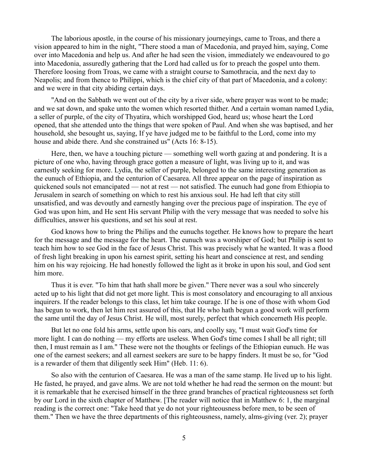The laborious apostle, in the course of his missionary journeyings, came to Troas, and there a vision appeared to him in the night, "There stood a man of Macedonia, and prayed him, saying, Come over into Macedonia and help us. And after he had seen the vision, immediately we endeavoured to go into Macedonia, assuredly gathering that the Lord had called us for to preach the gospel unto them. Therefore loosing from Troas, we came with a straight course to Samothracia, and the next day to Neapolis; and from thence to Philippi, which is the chief city of that part of Macedonia, and a colony: and we were in that city abiding certain days.

"And on the Sabbath we went out of the city by a river side, where prayer was wont to be made; and we sat down, and spake unto the women which resorted thither. And a certain woman named Lydia, a seller of purple, of the city of Thyatira, which worshipped God, heard us; whose heart the Lord opened, that she attended unto the things that were spoken of Paul. And when she was baptised, and her household, she besought us, saying, If ye have judged me to be faithful to the Lord, come into my house and abide there. And she constrained us" (Acts 16: 8-15).

Here, then, we have a touching picture — something well worth gazing at and pondering. It is a picture of one who, having through grace gotten a measure of light, was living up to it, and was earnestly seeking for more. Lydia, the seller of purple, belonged to the same interesting generation as the eunuch of Ethiopia, and the centurion of Caesarea. All three appear on the page of inspiration as quickened souls not emancipated — not at rest — not satisfied. The eunuch had gone from Ethiopia to Jerusalem in search of something on which to rest his anxious soul. He had left that city still unsatisfied, and was devoutly and earnestly hanging over the precious page of inspiration. The eye of God was upon him, and He sent His servant Philip with the very message that was needed to solve his difficulties, answer his questions, and set his soul at rest.

God knows how to bring the Philips and the eunuchs together. He knows how to prepare the heart for the message and the message for the heart. The eunuch was a worshiper of God; but Philip is sent to teach him how to see God in the face of Jesus Christ. This was precisely what he wanted. It was a flood of fresh light breaking in upon his earnest spirit, setting his heart and conscience at rest, and sending him on his way rejoicing. He had honestly followed the light as it broke in upon his soul, and God sent him more.

Thus it is ever. "To him that hath shall more be given." There never was a soul who sincerely acted up to his light that did not get more light. This is most consolatory and encouraging to all anxious inquirers. If the reader belongs to this class, let him take courage. If he is one of those with whom God has begun to work, then let him rest assured of this, that He who hath begun a good work will perform the same until the day of Jesus Christ. He will, most surely, perfect that which concerneth His people.

But let no one fold his arms, settle upon his oars, and coolly say, "I must wait God's time for more light. I can do nothing — my efforts are useless. When God's time comes I shall be all right; till then, I must remain as I am." These were not the thoughts or feelings of the Ethiopian eunuch. He was one of the earnest seekers; and all earnest seekers are sure to be happy finders. It must be so, for "God is a rewarder of them that diligently seek Him" (Heb. 11: 6).

So also with the centurion of Caesarea. He was a man of the same stamp. He lived up to his light. He fasted, he prayed, and gave alms. We are not told whether he had read the sermon on the mount: but it is remarkable that he exercised himself in the three grand branches of practical righteousness set forth by our Lord in the sixth chapter of Matthew. [The reader will notice that in Matthew 6: 1, the marginal reading is the correct one: "Take heed that ye do not your righteousness before men, to be seen of them." Then we have the three departments of this righteousness, namely, alms-giving (ver. 2); prayer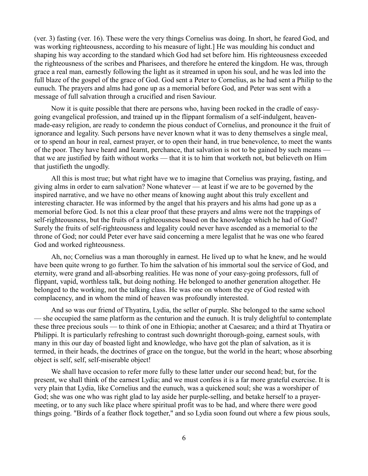(ver. 3) fasting (ver. 16). These were the very things Cornelius was doing. In short, he feared God, and was working righteousness, according to his measure of light.] He was moulding his conduct and shaping his way according to the standard which God had set before him. His righteousness exceeded the righteousness of the scribes and Pharisees, and therefore he entered the kingdom. He was, through grace a real man, earnestly following the light as it streamed in upon his soul, and he was led into the full blaze of the gospel of the grace of God. God sent a Peter to Cornelius, as he had sent a Philip to the eunuch. The prayers and alms had gone up as a memorial before God, and Peter was sent with a message of full salvation through a crucified and risen Saviour.

Now it is quite possible that there are persons who, having been rocked in the cradle of easygoing evangelical profession, and trained up in the flippant formalism of a self-indulgent, heavenmade-easy religion, are ready to condemn the pious conduct of Cornelius, and pronounce it the fruit of ignorance and legality. Such persons have never known what it was to deny themselves a single meal, or to spend an hour in real, earnest prayer, or to open their hand, in true benevolence, to meet the wants of the poor. They have heard and learnt, perchance, that salvation is not to be gained by such means that we are justified by faith without works — that it is to him that worketh not, but believeth on Him that justifieth the ungodly.

All this is most true; but what right have we to imagine that Cornelius was praying, fasting, and giving alms in order to earn salvation? None whatever — at least if we are to be governed by the inspired narrative, and we have no other means of knowing aught about this truly excellent and interesting character. He was informed by the angel that his prayers and his alms had gone up as a memorial before God. Is not this a clear proof that these prayers and alms were not the trappings of self-righteousness, but the fruits of a righteousness based on the knowledge which he had of God? Surely the fruits of self-righteousness and legality could never have ascended as a memorial to the throne of God; nor could Peter ever have said concerning a mere legalist that he was one who feared God and worked righteousness.

Ah, no; Cornelius was a man thoroughly in earnest. He lived up to what he knew, and he would have been quite wrong to go further. To him the salvation of his immortal soul the service of God, and eternity, were grand and all-absorbing realities. He was none of your easy-going professors, full of flippant, vapid, worthless talk, but doing nothing. He belonged to another generation altogether. He belonged to the working, not the talking class. He was one on whom the eye of God rested with complacency, and in whom the mind of heaven was profoundly interested.

And so was our friend of Thyatira, Lydia, the seller of purple. She belonged to the same school — she occupied the same platform as the centurion and the eunuch. It is truly delightful to contemplate these three precious souls — to think of one in Ethiopia; another at Caesarea; and a third at Thyatira or Philippi. It is particularly refreshing to contrast such downright thorough-going, earnest souls, with many in this our day of boasted light and knowledge, who have got the plan of salvation, as it is termed, in their heads, the doctrines of grace on the tongue, but the world in the heart; whose absorbing object is self, self, self-miserable object!

We shall have occasion to refer more fully to these latter under our second head; but, for the present, we shall think of the earnest Lydia; and we must confess it is a far more grateful exercise. It is very plain that Lydia, like Cornelius and the eunuch, was a quickened soul; she was a worshiper of God; she was one who was right glad to lay aside her purple-selling, and betake herself to a prayermeeting, or to any such like place where spiritual profit was to be had, and where there were good things going. "Birds of a feather flock together," and so Lydia soon found out where a few pious souls,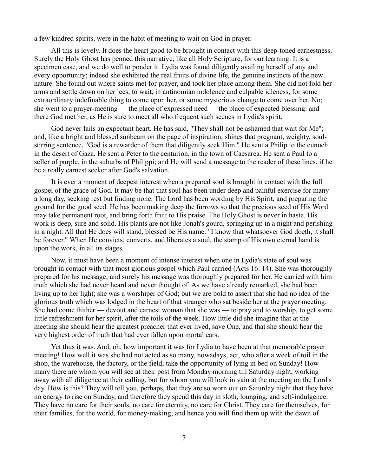a few kindred spirits, were in the habit of meeting to wait on God in prayer.

All this is lovely. It does the heart good to be brought in contact with this deep-toned earnestness. Surely the Holy Ghost has penned this narrative, like all Holy Scripture, for our learning. It is a specimen case, and we do well to ponder it. Lydia was found diligently availing herself of any and every opportunity; indeed she exhibited the real fruits of divine life, the genuine instincts of the new nature. She found out where saints met for prayer, and took her place among them. She did not fold her arms and settle down on her lees, to wait, in antinomian indolence and culpable idleness, for some extraordinary indefinable thing to come upon her, or some mysterious change to come over her. No; she went to a prayer-meeting — the place of expressed need — the place of expected blessing: and there God met her, as He is sure to meet all who frequent such scenes in Lydia's spirit.

God never fails an expectant heart. He has said, "They shall not be ashamed that wait for Me"; and, like a bright and blessed sunbeam on the page of inspiration, shines that pregnant, weighty, soulstirring sentence, "God is a rewarder of them that diligently seek Him." He sent a Philip to the eunuch in the desert of Gaza. He sent a Peter to the centurion, in the town of Caesarea. He sent a Paul to a seller of purple, in the suburbs of Philippi; and He will send a message to the reader of these lines, if he be a really earnest seeker after God's salvation.

It is ever a moment of deepest interest when a prepared soul is brought in contact with the full gospel of the grace of God. It may be that that soul has been under deep and painful exercise for many a long day, seeking rest but finding none. The Lord has been wording by His Spirit, and preparing the ground for the good seed. He has been making deep the furrows so that the precious seed of His Word may take permanent root, and bring forth fruit to His praise. The Holy Ghost is never in haste. His work is deep, sure and solid. His plants are not like Jonah's gourd, springing up in a night and perishing in a night. All that He does will stand, blessed be His name. "I know that whatsoever God doeth, it shall be forever." When He convicts, converts, and liberates a soul, the stamp of His own eternal hand is upon the work, in all its stages.

Now, it must have been a moment of intense interest when one in Lydia's state of soul was brought in contact with that most glorious gospel which Paul carried (Acts 16: 14). She was thoroughly prepared for his message; and surely his message was thoroughly prepared for her. He carried with him truth which she had never heard and never thought of. As we have already remarked, she had been living up to her light; she was a worshiper of God; but we are bold to assert that she had no idea of the glorious truth which was lodged in the heart of that stranger who sat beside her at the prayer meeting. She had come thither — devout and earnest woman that she was — to pray and to worship, to get some little refreshment for her spirit, after the toils of the week. How little did she imagine that at the meeting she should hear the greatest preacher that ever lived, save One, and that she should hear the very highest order of truth that had ever fallen upon mortal ears.

Yet thus it was. And, oh, how important it was for Lydia to have been at that memorable prayer meeting! How well it was she had not acted as so many, nowadays, act, who after a week of toil in the shop, the warehouse, the factory, or the field, take the opportunity of lying in bed on Sunday! How many there are whom you will see at their post from Monday morning till Saturday night, working away with all diligence at their calling, but for whom you will look in vain at the meeting on the Lord's day. How is this? They will tell you, perhaps, that they are so worn out on Saturday night that they have no energy to rise on Sunday, and therefore they spend this day in sloth, lounging, and self-indulgence. They have no care for their souls, no care for eternity, no care for Christ. They care for themselves, for their families, for the world, for money-making; and hence you will find them up with the dawn of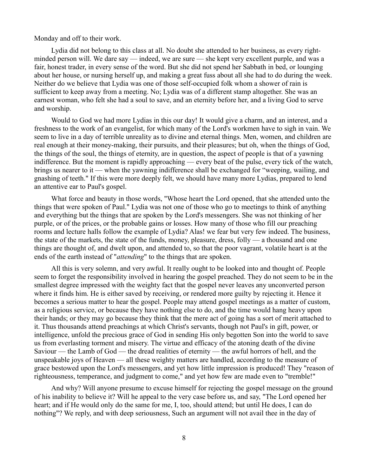Monday and off to their work.

Lydia did not belong to this class at all. No doubt she attended to her business, as every rightminded person will. We dare say — indeed, we are sure — she kept very excellent purple, and was a fair, honest trader, in every sense of the word. But she did not spend her Sabbath in bed, or lounging about her house, or nursing herself up, and making a great fuss about all she had to do during the week. Neither do we believe that Lydia was one of those self-occupied folk whom a shower of rain is sufficient to keep away from a meeting. No; Lydia was of a different stamp altogether. She was an earnest woman, who felt she had a soul to save, and an eternity before her, and a living God to serve and worship.

Would to God we had more Lydias in this our day! It would give a charm, and an interest, and a freshness to the work of an evangelist, for which many of the Lord's workmen have to sigh in vain. We seem to live in a day of terrible unreality as to divine and eternal things. Men, women, and children are real enough at their money-making, their pursuits, and their pleasures; but oh, when the things of God, the things of the soul, the things of eternity, are in question, the aspect of people is that of a yawning indifference. But the moment is rapidly approaching — every beat of the pulse, every tick of the watch, brings us nearer to it — when the yawning indifference shall be exchanged for "weeping, wailing, and gnashing of teeth." If this were more deeply felt, we should have many more Lydias, prepared to lend an attentive ear to Paul's gospel.

What force and beauty in those words, "Whose heart the Lord opened, that she attended unto the things that were spoken of Paul." Lydia was not one of those who go to meetings to think of anything and everything but the things that are spoken by the Lord's messengers. She was not thinking of her purple, or of the prices, or the probable gains or losses. How many of those who fill our preaching rooms and lecture halls follow the example of Lydia? Alas! we fear but very few indeed. The business, the state of the markets, the state of the funds, money, pleasure, dress, folly — a thousand and one things are thought of, and dwelt upon, and attended to, so that the poor vagrant, volatile heart is at the ends of the earth instead of "*attending*" to the things that are spoken.

All this is very solemn, and very awful. It really ought to be looked into and thought of. People seem to forget the responsibility involved in hearing the gospel preached. They do not seem to be in the smallest degree impressed with the weighty fact that the gospel never leaves any unconverted person where it finds him. He is either saved by receiving, or rendered more guilty by rejecting it. Hence it becomes a serious matter to hear the gospel. People may attend gospel meetings as a matter of custom, as a religious service, or because they have nothing else to do, and the time would hang heavy upon their hands; or they may go because they think that the mere act of going has a sort of merit attached to it. Thus thousands attend preachings at which Christ's servants, though not Paul's in gift, power, or intelligence, unfold the precious grace of God in sending His only begotten Son into the world to save us from everlasting torment and misery. The virtue and efficacy of the atoning death of the divine Saviour — the Lamb of God — the dread realities of eternity — the awful horrors of hell, and the unspeakable joys of Heaven — all these weighty matters are handled, according to the measure of grace bestowed upon the Lord's messengers, and yet how little impression is produced! They "reason of righteousness, temperance, and judgment to come," and yet how few are made even to "tremble!"

And why? Will anyone presume to excuse himself for rejecting the gospel message on the ground of his inability to believe it? Will he appeal to the very case before us, and say, "The Lord opened her heart; and if He would only do the same for me, I, too, should attend; but until He does, I can do nothing"? We reply, and with deep seriousness, Such an argument will not avail thee in the day of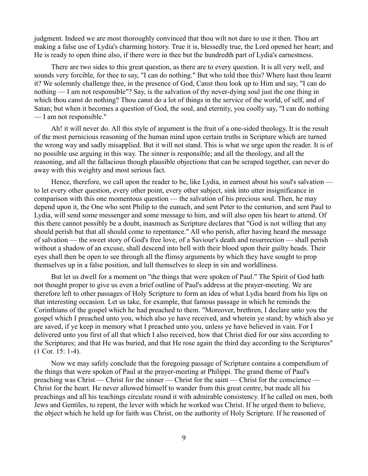judgment. Indeed we are most thoroughly convinced that thou wilt not dare to use it then. Thou art making a false use of Lydia's charming history. True it is, blessedly true, the Lord opened her heart; and He is ready to open thine also, if there were in thee but the hundredth part of Lydia's earnestness.

There are two sides to this great question, as there are to every question. It is all very well, and sounds very forcible, for thee to say, "I can do nothing." But who told thee this? Where hast thou learnt it? We solemnly challenge thee, in the presence of God, Canst thou look up to Him and say, "I can do nothing — I am not responsible"? Say, is the salvation of thy never-dying soul just the one thing in which thou canst do nothing? Thou canst do a lot of things in the service of the world, of self, and of Satan; but when it becomes a question of God, the soul, and eternity, you coolly say, "I can do nothing — I am not responsible."

Ah! it will never do. All this style of argument is the fruit of a one-sided theology. It is the result of the most pernicious reasoning of the human mind upon certain truths in Scripture which are turned the wrong way and sadly misapplied. But it will not stand. This is what we urge upon the reader. It is of no possible use arguing in this way. The sinner is responsible; and all the theology, and all the reasoning, and all the fallacious though plausible objections that can be scraped together, can never do away with this weighty and most serious fact.

Hence, therefore, we call upon the reader to be, like Lydia, in earnest about his soul's salvation to let every other question, every other point, every other subject, sink into utter insignificance in comparison with this one momentous question — the salvation of his precious soul. Then, he may depend upon it, the One who sent Philip to the eunuch, and sent Peter to the centurion, and sent Paul to Lydia, will send some messenger and some message to him, and will also open his heart to attend. Of this there cannot possibly be a doubt, inasmuch as Scripture declares that "God is not willing that any should perish but that all should come to repentance." All who perish, after having heard the message of salvation — the sweet story of God's free love, of a Saviour's death and resurrection — shall perish without a shadow of an excuse, shall descend into hell with their blood upon their guilty heads. Their eyes shall then be open to see through all the flimsy arguments by which they have sought to prop themselves up in a false position, and lull themselves to sleep in sin and worldliness.

But let us dwell for a moment on "the things that were spoken of Paul." The Spirit of God hath not thought proper to give us even a brief outline of Paul's address at the prayer-meeting. We are therefore left to other passages of Holy Scripture to form an idea of what Lydia heard from his lips on that interesting occasion. Let us take, for example, that famous passage in which he reminds the Corinthians of the gospel which he had preached to them. "Moreover, brethren, I declare unto you the gospel which I preached unto you, which also ye have received, and wherein ye stand; by which also ye are saved, if ye keep in memory what I preached unto you, unless ye have believed in vain. For I delivered unto you first of all that which I also received, how that Christ died for our sins according to the Scriptures; and that He was buried, and that He rose again the third day according to the Scriptures" (1 Cor. 15: 1-4).

Now we may safely conclude that the foregoing passage of Scripture contains a compendium of the things that were spoken of Paul at the prayer-meeting at Philippi. The grand theme of Paul's preaching was Christ — Christ for the sinner — Christ for the saint — Christ for the conscience — Christ for the heart. He never allowed himself to wander from this great centre, but made all his preachings and all his teachings circulate round it with admirable consistency. If he called on men, both Jews and Gentiles, to repent, the lever with which he worked was Christ. If he urged them to believe, the object which he held up for faith was Christ, on the authority of Holy Scripture. If he reasoned of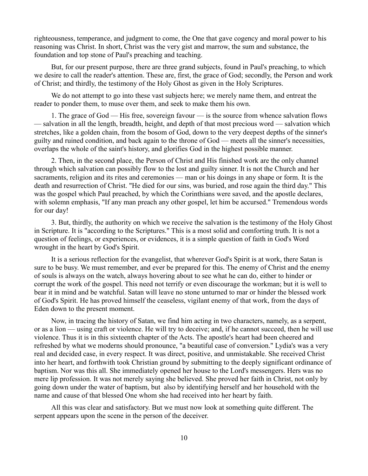righteousness, temperance, and judgment to come, the One that gave cogency and moral power to his reasoning was Christ. In short, Christ was the very gist and marrow, the sum and substance, the foundation and top stone of Paul's preaching and teaching.

But, for our present purpose, there are three grand subjects, found in Paul's preaching, to which we desire to call the reader's attention. These are, first, the grace of God; secondly, the Person and work of Christ; and thirdly, the testimony of the Holy Ghost as given in the Holy Scriptures.

We do not attempt to go into these vast subjects here; we merely name them, and entreat the reader to ponder them, to muse over them, and seek to make them his own.

1. The grace of God — His free, sovereign favour — is the source from whence salvation flows — salvation in all the length, breadth, height, and depth of that most precious word — salvation which stretches, like a golden chain, from the bosom of God, down to the very deepest depths of the sinner's guilty and ruined condition, and back again to the throne of God — meets all the sinner's necessities, overlaps the whole of the saint's history, and glorifies God in the highest possible manner.

2. Then, in the second place, the Person of Christ and His finished work are the only channel through which salvation can possibly flow to the lost and guilty sinner. It is not the Church and her sacraments, religion and its rites and ceremonies — man or his doings in any shape or form. It is the death and resurrection of Christ. "He died for our sins, was buried, and rose again the third day." This was the gospel which Paul preached, by which the Corinthians were saved, and the apostle declares, with solemn emphasis, "If any man preach any other gospel, let him be accursed." Tremendous words for our day!

3. But, thirdly, the authority on which we receive the salvation is the testimony of the Holy Ghost in Scripture. It is "according to the Scriptures." This is a most solid and comforting truth. It is not a question of feelings, or experiences, or evidences, it is a simple question of faith in God's Word wrought in the heart by God's Spirit.

It is a serious reflection for the evangelist, that wherever God's Spirit is at work, there Satan is sure to be busy. We must remember, and ever be prepared for this. The enemy of Christ and the enemy of souls is always on the watch, always hovering about to see what he can do, either to hinder or corrupt the work of the gospel. This need not terrify or even discourage the workman; but it is well to bear it in mind and be watchful. Satan will leave no stone unturned to mar or hinder the blessed work of God's Spirit. He has proved himself the ceaseless, vigilant enemy of that work, from the days of Eden down to the present moment.

Now, in tracing the history of Satan, we find him acting in two characters, namely, as a serpent, or as a lion — using craft or violence. He will try to deceive; and, if he cannot succeed, then he will use violence. Thus it is in this sixteenth chapter of the Acts. The apostle's heart had been cheered and refreshed by what we moderns should pronounce, "a beautiful case of conversion." Lydia's was a very real and decided case, in every respect. It was direct, positive, and unmistakable. She received Christ into her heart, and forthwith took Christian ground by submitting to the deeply significant ordinance of baptism. Nor was this all. She immediately opened her house to the Lord's messengers. Hers was no mere lip profession. It was not merely saying she believed. She proved her faith in Christ, not only by going down under the water of baptism, but also by identifying herself and her household with the name and cause of that blessed One whom she had received into her heart by faith.

All this was clear and satisfactory. But we must now look at something quite different. The serpent appears upon the scene in the person of the deceiver.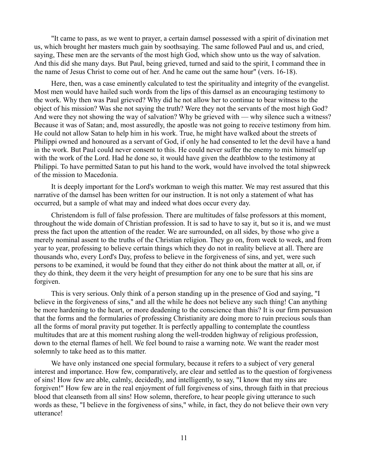"It came to pass, as we went to prayer, a certain damsel possessed with a spirit of divination met us, which brought her masters much gain by soothsaying. The same followed Paul and us, and cried, saying, These men are the servants of the most high God, which show unto us the way of salvation. And this did she many days. But Paul, being grieved, turned and said to the spirit, I command thee in the name of Jesus Christ to come out of her. And he came out the same hour" (vers. 16-18).

Here, then, was a case eminently calculated to test the spirituality and integrity of the evangelist. Most men would have hailed such words from the lips of this damsel as an encouraging testimony to the work. Why then was Paul grieved? Why did he not allow her to continue to bear witness to the object of his mission? Was she not saying the truth? Were they not the servants of the most high God? And were they not showing the way of salvation? Why be grieved with — why silence such a witness? Because it was of Satan; and, most assuredly, the apostle was not going to receive testimony from him. He could not allow Satan to help him in his work. True, he might have walked about the streets of Philippi owned and honoured as a servant of God, if only he had consented to let the devil have a hand in the work. But Paul could never consent to this. He could never suffer the enemy to mix himself up with the work of the Lord. Had he done so, it would have given the deathblow to the testimony at Philippi. To have permitted Satan to put his hand to the work, would have involved the total shipwreck of the mission to Macedonia.

It is deeply important for the Lord's workman to weigh this matter. We may rest assured that this narrative of the damsel has been written for our instruction. It is not only a statement of what has occurred, but a sample of what may and indeed what does occur every day.

Christendom is full of false profession. There are multitudes of false professors at this moment, throughout the wide domain of Christian profession. It is sad to have to say it, but so it is, and we must press the fact upon the attention of the reader. We are surrounded, on all sides, by those who give a merely nominal assent to the truths of the Christian religion. They go on, from week to week, and from year to year, professing to believe certain things which they do not in reality believe at all. There are thousands who, every Lord's Day, profess to believe in the forgiveness of sins, and yet, were such persons to be examined, it would be found that they either do not think about the matter at all, or, if they do think, they deem it the very height of presumption for any one to be sure that his sins are forgiven.

This is very serious. Only think of a person standing up in the presence of God and saying, "I believe in the forgiveness of sins," and all the while he does not believe any such thing! Can anything be more hardening to the heart, or more deadening to the conscience than this? It is our firm persuasion that the forms and the formularies of professing Christianity are doing more to ruin precious souls than all the forms of moral pravity put together. It is perfectly appalling to contemplate the countless multitudes that are at this moment rushing along the well-trodden highway of religious profession, down to the eternal flames of hell. We feel bound to raise a warning note. We want the reader most solemnly to take heed as to this matter.

We have only instanced one special formulary, because it refers to a subject of very general interest and importance. How few, comparatively, are clear and settled as to the question of forgiveness of sins! How few are able, calmly, decidedly, and intelligently, to say, "I know that my sins are forgiven!" How few are in the real enjoyment of full forgiveness of sins, through faith in that precious blood that cleanseth from all sins! How solemn, therefore, to hear people giving utterance to such words as these, "I believe in the forgiveness of sins," while, in fact, they do not believe their own very utterance!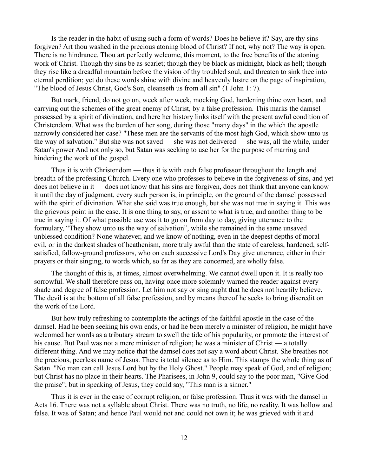Is the reader in the habit of using such a form of words? Does he believe it? Say, are thy sins forgiven? Art thou washed in the precious atoning blood of Christ? If not, why not? The way is open. There is no hindrance. Thou art perfectly welcome, this moment, to the free benefits of the atoning work of Christ. Though thy sins be as scarlet; though they be black as midnight, black as hell; though they rise like a dreadful mountain before the vision of thy troubled soul, and threaten to sink thee into eternal perdition; yet do these words shine with divine and heavenly lustre on the page of inspiration, "The blood of Jesus Christ, God's Son, cleanseth us from all sin" (1 John 1: 7).

But mark, friend, do not go on, week after week, mocking God, hardening thine own heart, and carrying out the schemes of the great enemy of Christ, by a false profession. This marks the damsel possessed by a spirit of divination, and here her history links itself with the present awful condition of Christendom. What was the burden of her song, during those "many days" in the which the apostle narrowly considered her case? "These men are the servants of the most high God, which show unto us the way of salvation." But she was not saved — she was not delivered — she was, all the while, under Satan's power And not only so, but Satan was seeking to use her for the purpose of marring and hindering the work of the gospel.

Thus it is with Christendom — thus it is with each false professor throughout the length and breadth of the professing Church. Every one who professes to believe in the forgiveness of sins, and yet does not believe in it — does not know that his sins are forgiven, does not think that anyone can know it until the day of judgment, every such person is, in principle, on the ground of the damsel possessed with the spirit of divination. What she said was true enough, but she was not true in saying it. This was the grievous point in the case. It is one thing to say, or assent to what is true, and another thing to be true in saying it. Of what possible use was it to go on from day to day, giving utterance to the formulary, "They show unto us the way of salvation", while she remained in the same unsaved unblessed condition? None whatever, and we know of nothing, even in the deepest depths of moral evil, or in the darkest shades of heathenism, more truly awful than the state of careless, hardened, selfsatisfied, fallow-ground professors, who on each successive Lord's Day give utterance, either in their prayers or their singing, to words which, so far as they are concerned, are wholly false.

The thought of this is, at times, almost overwhelming. We cannot dwell upon it. It is really too sorrowful. We shall therefore pass on, having once more solemnly warned the reader against every shade and degree of false profession. Let him not say or sing aught that he does not heartily believe. The devil is at the bottom of all false profession, and by means thereof he seeks to bring discredit on the work of the Lord.

But how truly refreshing to contemplate the actings of the faithful apostle in the case of the damsel. Had he been seeking his own ends, or had he been merely a minister of religion, he might have welcomed her words as a tributary stream to swell the tide of his popularity, or promote the interest of his cause. But Paul was not a mere minister of religion; he was a minister of Christ — a totally different thing. And we may notice that the damsel does not say a word about Christ. She breathes not the precious, peerless name of Jesus. There is total silence as to Him. This stamps the whole thing as of Satan. "No man can call Jesus Lord but by the Holy Ghost." People may speak of God, and of religion; but Christ has no place in their hearts. The Pharisees, in John 9, could say to the poor man, "Give God the praise"; but in speaking of Jesus, they could say, "This man is a sinner."

Thus it is ever in the case of corrupt religion, or false profession. Thus it was with the damsel in Acts 16. There was not a syllable about Christ. There was no truth, no life, no reality. It was hollow and false. It was of Satan; and hence Paul would not and could not own it; he was grieved with it and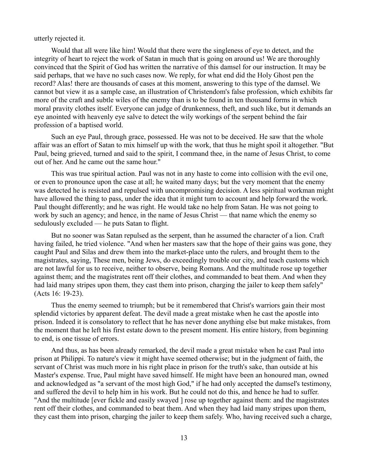utterly rejected it.

Would that all were like him! Would that there were the singleness of eye to detect, and the integrity of heart to reject the work of Satan in much that is going on around us! We are thoroughly convinced that the Spirit of God has written the narrative of this damsel for our instruction. It may be said perhaps, that we have no such cases now. We reply, for what end did the Holy Ghost pen the record? Alas! there are thousands of cases at this moment, answering to this type of the damsel. We cannot but view it as a sample case, an illustration of Christendom's false profession, which exhibits far more of the craft and subtle wiles of the enemy than is to be found in ten thousand forms in which moral pravity clothes itself. Everyone can judge of drunkenness, theft, and such like, but it demands an eye anointed with heavenly eye salve to detect the wily workings of the serpent behind the fair profession of a baptised world.

Such an eye Paul, through grace, possessed. He was not to be deceived. He saw that the whole affair was an effort of Satan to mix himself up with the work, that thus he might spoil it altogether. "But Paul, being grieved, turned and said to the spirit, I command thee, in the name of Jesus Christ, to come out of her. And he came out the same hour."

This was true spiritual action. Paul was not in any haste to come into collision with the evil one, or even to pronounce upon the case at all; he waited many days; but the very moment that the enemy was detected he is resisted and repulsed with uncompromising decision. A less spiritual workman might have allowed the thing to pass, under the idea that it might turn to account and help forward the work. Paul thought differently; and he was right. He would take no help from Satan. He was not going to work by such an agency; and hence, in the name of Jesus Christ — that name which the enemy so sedulously excluded — he puts Satan to flight.

But no sooner was Satan repulsed as the serpent, than he assumed the character of a lion. Craft having failed, he tried violence. "And when her masters saw that the hope of their gains was gone, they caught Paul and Silas and drew them into the market-place unto the rulers, and brought them to the magistrates, saying, These men, being Jews, do exceedingly trouble our city, and teach customs which are not lawful for us to receive, neither to observe, being Romans. And the multitude rose up together against them; and the magistrates rent off their clothes, and commanded to beat them. And when they had laid many stripes upon them, they cast them into prison, charging the jailer to keep them safely" (Acts 16: 19-23).

Thus the enemy seemed to triumph; but be it remembered that Christ's warriors gain their most splendid victories by apparent defeat. The devil made a great mistake when he cast the apostle into prison. Indeed it is consolatory to reflect that he has never done anything else but make mistakes, from the moment that he left his first estate down to the present moment. His entire history, from beginning to end, is one tissue of errors.

And thus, as has been already remarked, the devil made a great mistake when he cast Paul into prison at Philippi. To nature's view it might have seemed otherwise; but in the judgment of faith, the servant of Christ was much more in his right place in prison for the truth's sake, than outside at his Master's expense. True, Paul might have saved himself. He might have been an honoured man, owned and acknowledged as "a servant of the most high God," if he had only accepted the damsel's testimony, and suffered the devil to help him in his work. But he could not do this, and hence he had to suffer. "And the multitude [ever fickle and easily swayed ] rose up together against them: and the magistrates rent off their clothes, and commanded to beat them. And when they had laid many stripes upon them, they cast them into prison, charging the jailer to keep them safely. Who, having received such a charge,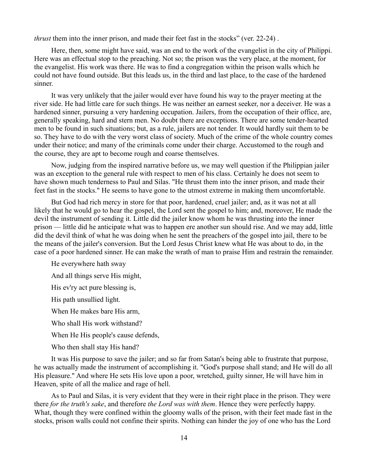*thrust* them into the inner prison, and made their feet fast in the stocks" (ver. 22-24) .

Here, then, some might have said, was an end to the work of the evangelist in the city of Philippi. Here was an effectual stop to the preaching. Not so; the prison was the very place, at the moment, for the evangelist. His work was there. He was to find a congregation within the prison walls which he could not have found outside. But this leads us, in the third and last place, to the case of the hardened sinner.

It was very unlikely that the jailer would ever have found his way to the prayer meeting at the river side. He had little care for such things. He was neither an earnest seeker, nor a deceiver. He was a hardened sinner, pursuing a very hardening occupation. Jailers, from the occupation of their office, are, generally speaking, hard and stern men. No doubt there are exceptions. There are some tender-hearted men to be found in such situations; but, as a rule, jailers are not tender. It would hardly suit them to be so. They have to do with the very worst class of society. Much of the crime of the whole country comes under their notice; and many of the criminals come under their charge. Accustomed to the rough and the course, they are apt to become rough and coarse themselves.

Now, judging from the inspired narrative before us, we may well question if the Philippian jailer was an exception to the general rule with respect to men of his class. Certainly he does not seem to have shown much tenderness to Paul and Silas. "He thrust them into the inner prison, and made their feet fast in the stocks." He seems to have gone to the utmost extreme in making them uncomfortable.

But God had rich mercy in store for that poor, hardened, cruel jailer; and, as it was not at all likely that he would go to hear the gospel, the Lord sent the gospel to him; and, moreover, He made the devil the instrument of sending it. Little did the jailer know whom he was thrusting into the inner prison — little did he anticipate what was to happen ere another sun should rise. And we may add, little did the devil think of what he was doing when he sent the preachers of the gospel into jail, there to be the means of the jailer's conversion. But the Lord Jesus Christ knew what He was about to do, in the case of a poor hardened sinner. He can make the wrath of man to praise Him and restrain the remainder.

He everywhere hath sway

And all things serve His might,

His ev'ry act pure blessing is,

His path unsullied light.

When He makes bare His arm,

Who shall His work withstand?

When He His people's cause defends,

Who then shall stay His hand?

It was His purpose to save the jailer; and so far from Satan's being able to frustrate that purpose, he was actually made the instrument of accomplishing it. "God's purpose shall stand; and He will do all His pleasure." And where He sets His love upon a poor, wretched, guilty sinner, He will have him in Heaven, spite of all the malice and rage of hell.

As to Paul and Silas, it is very evident that they were in their right place in the prison. They were there *for the truth's sake*, and therefore *the Lord was with them*. Hence they were perfectly happy. What, though they were confined within the gloomy walls of the prison, with their feet made fast in the stocks, prison walls could not confine their spirits. Nothing can hinder the joy of one who has the Lord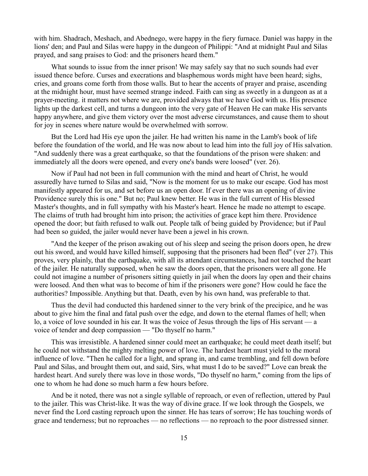with him. Shadrach, Meshach, and Abednego, were happy in the fiery furnace. Daniel was happy in the lions' den; and Paul and Silas were happy in the dungeon of Philippi: "And at midnight Paul and Silas prayed, and sang praises to God: and the prisoners heard them."

What sounds to issue from the inner prison! We may safely say that no such sounds had ever issued thence before. Curses and execrations and blasphemous words might have been heard; sighs, cries, and groans come forth from those walls. But to hear the accents of prayer and praise, ascending at the midnight hour, must have seemed strange indeed. Faith can sing as sweetly in a dungeon as at a prayer-meeting. it matters not where we are, provided always that we have God with us. His presence lights up the darkest cell, and turns a dungeon into the very gate of Heaven He can make His servants happy anywhere, and give them victory over the most adverse circumstances, and cause them to shout for joy in scenes where nature would be overwhelmed with sorrow.

But the Lord had His eye upon the jailer. He had written his name in the Lamb's book of life before the foundation of the world, and He was now about to lead him into the full joy of His salvation. "And suddenly there was a great earthquake, so that the foundations of the prison were shaken: and immediately all the doors were opened, and every one's bands were loosed" (ver. 26).

Now if Paul had not been in full communion with the mind and heart of Christ, he would assuredly have turned to Silas and said, "Now is the moment for us to make our escape. God has most manifestly appeared for us, and set before us an open door. If ever there was an opening of divine Providence surely this is one." But no; Paul knew better. He was in the full current of His blessed Master's thoughts, and in full sympathy with his Master's heart. Hence he made no attempt to escape. The claims of truth had brought him into prison; the activities of grace kept him there. Providence opened the door; but faith refused to walk out. People talk of being guided by Providence; but if Paul had been so guided, the jailer would never have been a jewel in his crown.

"And the keeper of the prison awaking out of his sleep and seeing the prison doors open, he drew out his sword, and would have killed himself, supposing that the prisoners had been fled" (ver 27). This proves, very plainly, that the earthquake, with all its attendant circumstances, had not touched the heart of the jailer. He naturally supposed, when he saw the doors open, that the prisoners were all gone. He could not imagine a number of prisoners sitting quietly in jail when the doors lay open and their chains were loosed. And then what was to become of him if the prisoners were gone? How could he face the authorities? Impossible. Anything but that. Death, even by his own hand, was preferable to that.

Thus the devil had conducted this hardened sinner to the very brink of the precipice, and he was about to give him the final and fatal push over the edge, and down to the eternal flames of hell; when lo, a voice of love sounded in his ear. It was the voice of Jesus through the lips of His servant — a voice of tender and deep compassion — "Do thyself no harm."

This was irresistible. A hardened sinner could meet an earthquake; he could meet death itself; but he could not withstand the mighty melting power of love. The hardest heart must yield to the moral influence of love. "Then he called for a light, and sprang in, and came trembling, and fell down before Paul and Silas, and brought them out, and said, Sirs, what must I do to be saved?" Love can break the hardest heart. And surely there was love in those words, "Do thyself no harm," coming from the lips of one to whom he had done so much harm a few hours before.

And be it noted, there was not a single syllable of reproach, or even of reflection, uttered by Paul to the jailer. This was Christ-like. It was the way of divine grace. If we look through the Gospels, we never find the Lord casting reproach upon the sinner. He has tears of sorrow; He has touching words of grace and tenderness; but no reproaches — no reflections — no reproach to the poor distressed sinner.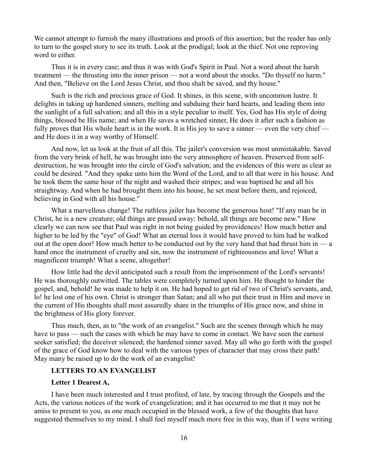We cannot attempt to furnish the many illustrations and proofs of this assertion; but the reader has only to turn to the gospel story to see its truth. Look at the prodigal; look at the thief. Not one reproving word to either.

Thus it is in every case; and thus it was with God's Spirit in Paul. Not a word about the harsh treatment — the thrusting into the inner prison — not a word about the stocks. "Do thyself no harm." And then, "Believe on the Lord Jesus Christ, and thou shalt be saved, and thy house."

Such is the rich and precious grace of God. It shines, in this scene, with uncommon lustre. It delights in taking up hardened sinners, melting and subduing their hard hearts, and leading them into the sunlight of a full salvation; and all this in a style peculiar to itself. Yes, God has His style of doing things, blessed be His name; and when He saves a wretched sinner, He does it after such a fashion as fully proves that His whole heart is in the work. It is His joy to save a sinner — even the very chief and He does it in a way worthy of Himself.

And now, let us look at the fruit of all this. The jailer's conversion was most unmistakable. Saved from the very brink of hell, he was brought into the very atmosphere of heaven. Preserved from selfdestruction, he was brought into the circle of God's salvation; and the evidences of this were as clear as could be desired. "And they spake unto him the Word of the Lord, and to all that were in his house. And he took them the same hour of the night and washed their stripes; and was baptised he and all his straightway. And when he had brought them into his house, he set meat before them, and rejoiced, believing in God with all his house."

What a marvellous change! The ruthless jailer has become the generous host! "If any man be in Christ, he is a new creature; old things are passed away: behold, all things are become new." How clearly we can now see that Paul was right in not being guided by providences! How much better and higher to be led by the "eye" of God! What an eternal loss it would have proved to him had he walked out at the open door! How much better to be conducted out by the very hand that had thrust him in — a hand once the instrument of cruelty and sin, now the instrument of righteousness and love! What a magnificent triumph! What a scene, altogether!

How little had the devil anticipated such a result from the imprisonment of the Lord's servants! He was thoroughly outwitted. The tables were completely turned upon him. He thought to hinder the gospel, and, behold! he was made to help it on. He had hoped to get rid of two of Christ's servants, and, lo! he lost one of his own. Christ is stronger than Satan; and all who put their trust in Him and move in the current of His thoughts shall most assuredly share in the triumphs of His grace now, and shine in the brightness of His glory forever.

Thus much, then, as to "the work of an evangelist." Such are the scenes through which he may have to pass — such the cases with which he may have to come in contact. We have seen the earnest seeker satisfied; the deceiver silenced; the hardened sinner saved. May all who go forth with the gospel of the grace of God know how to deal with the various types of character that may cross their path! May many be raised up to do the work of an evangelist!

# **LETTERS TO AN EVANGELIST**

#### **Letter 1 Dearest A,**

I have been much interested and I trust profited, of late, by tracing through the Gospels and the Acts, the various notices of the work of evangelization; and it has occurred to me that it may not be amiss to present to you, as one much occupied in the blessed work, a few of the thoughts that have suggested themselves to my mind. I shall feel myself much more free in this way, than if I were writing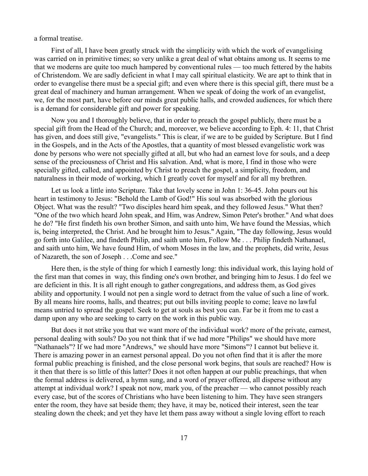a formal treatise.

First of all, I have been greatly struck with the simplicity with which the work of evangelising was carried on in primitive times; so very unlike a great deal of what obtains among us. It seems to me that we moderns are quite too much hampered by conventional rules — too much fettered by the habits of Christendom. We are sadly deficient in what I may call spiritual elasticity. We are apt to think that in order to evangelise there must be a special gift; and even where there is this special gift, there must be a great deal of machinery and human arrangement. When we speak of doing the work of an evangelist, we, for the most part, have before our minds great public halls, and crowded audiences, for which there is a demand for considerable gift and power for speaking.

Now you and I thoroughly believe, that in order to preach the gospel publicly, there must be a special gift from the Head of the Church; and, moreover, we believe according to Eph. 4: 11, that Christ has given, and does still give, "evangelists." This is clear, if we are to be guided by Scripture. But I find in the Gospels, and in the Acts of the Apostles, that a quantity of most blessed evangelistic work was done by persons who were not specially gifted at all, but who had an earnest love for souls, and a deep sense of the preciousness of Christ and His salvation. And, what is more, I find in those who were specially gifted, called, and appointed by Christ to preach the gospel, a simplicity, freedom, and naturalness in their mode of working, which I greatly covet for myself and for all my brethren.

Let us look a little into Scripture. Take that lovely scene in John 1: 36-45. John pours out his heart in testimony to Jesus: "Behold the Lamb of God!" His soul was absorbed with the glorious Object. What was the result? "Two disciples heard him speak, and they followed Jesus." What then? "One of the two which heard John speak, and Him, was Andrew, Simon Peter's brother." And what does he do? "He first findeth his own brother Simon, and saith unto him, We have found the Messias, which is, being interpreted, the Christ. And he brought him to Jesus." Again, "The day following, Jesus would go forth into Galilee, and findeth Philip, and saith unto him, Follow Me . . . Philip findeth Nathanael, and saith unto him, We have found Him, of whom Moses in the law, and the prophets, did write, Jesus of Nazareth, the son of Joseph . . .Come and see."

Here then, is the style of thing for which I earnestly long: this individual work, this laying hold of the first man that comes in way, this finding one's own brother, and bringing him to Jesus. I do feel we are deficient in this. It is all right enough to gather congregations, and address them, as God gives ability and opportunity. I would not pen a single word to detract from the value of such a line of work. By all means hire rooms, halls, and theatres; put out bills inviting people to come; leave no lawful means untried to spread the gospel. Seek to get at souls as best you can. Far be it from me to cast a damp upon any who are seeking to carry on the work in this public way.

But does it not strike you that we want more of the individual work? more of the private, earnest, personal dealing with souls? Do you not think that if we had more "Philips" we should have more "Nathanaels"? If we had more "Andrews," we should have more "Simons"? I cannot but believe it. There is amazing power in an earnest personal appeal. Do you not often find that it is after the more formal public preaching is finished, and the close personal work begins, that souls are reached? How is it then that there is so little of this latter? Does it not often happen at our public preachings, that when the formal address is delivered, a hymn sung, and a word of prayer offered, all disperse without any attempt at individual work? I speak not now, mark you, of the preacher — who cannot possibly reach every case, but of the scores of Christians who have been listening to him. They have seen strangers enter the room, they have sat beside them; they have, it may be, noticed their interest, seen the tear stealing down the cheek; and yet they have let them pass away without a single loving effort to reach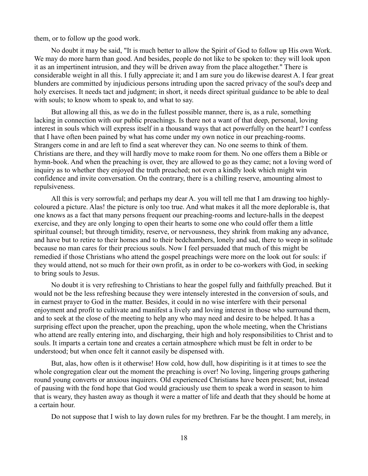them, or to follow up the good work.

No doubt it may be said, "It is much better to allow the Spirit of God to follow up His own Work. We may do more harm than good. And besides, people do not like to be spoken to: they will look upon it as an impertinent intrusion, and they will be driven away from the place altogether." There is considerable weight in all this. I fully appreciate it; and I am sure you do likewise dearest A. I fear great blunders are committed by injudicious persons intruding upon the sacred privacy of the soul's deep and holy exercises. It needs tact and judgment; in short, it needs direct spiritual guidance to be able to deal with souls; to know whom to speak to, and what to say.

But allowing all this, as we do in the fullest possible manner, there is, as a rule, something lacking in connection with our public preachings. Is there not a want of that deep, personal, loving interest in souls which will express itself in a thousand ways that act powerfully on the heart? I confess that I have often been pained by what has come under my own notice in our preaching-rooms. Strangers come in and are left to find a seat wherever they can. No one seems to think of them. Christians are there, and they will hardly move to make room for them. No one offers them a Bible or hymn-book. And when the preaching is over, they are allowed to go as they came; not a loving word of inquiry as to whether they enjoyed the truth preached; not even a kindly look which might win confidence and invite conversation. On the contrary, there is a chilling reserve, amounting almost to repulsiveness.

All this is very sorrowful; and perhaps my dear A. you will tell me that I am drawing too highlycoloured a picture. Alas! the picture is only too true. And what makes it all the more deplorable is, that one knows as a fact that many persons frequent our preaching-rooms and lecture-halls in the deepest exercise, and they are only longing to open their hearts to some one who could offer them a little spiritual counsel; but through timidity, reserve, or nervousness, they shrink from making any advance, and have but to retire to their homes and to their bedchambers, lonely and sad, there to weep in solitude because no man cares for their precious souls. Now I feel persuaded that much of this might be remedied if those Christians who attend the gospel preachings were more on the look out for souls: if they would attend, not so much for their own profit, as in order to be co-workers with God, in seeking to bring souls to Jesus.

No doubt it is very refreshing to Christians to hear the gospel fully and faithfully preached. But it would not be the less refreshing because they were intensely interested in the conversion of souls, and in earnest prayer to God in the matter. Besides, it could in no wise interfere with their personal enjoyment and profit to cultivate and manifest a lively and loving interest in those who surround them, and to seek at the close of the meeting to help any who may need and desire to be helped. It has a surprising effect upon the preacher, upon the preaching, upon the whole meeting, when the Christians who attend are really entering into, and discharging, their high and holy responsibilities to Christ and to souls. It imparts a certain tone and creates a certain atmosphere which must be felt in order to be understood; but when once felt it cannot easily be dispensed with.

But, alas, how often is it otherwise! How cold, how dull, how dispiriting is it at times to see the whole congregation clear out the moment the preaching is over! No loving, lingering groups gathering round young converts or anxious inquirers. Old experienced Christians have been present; but, instead of pausing with the fond hope that God would graciously use them to speak a word in season to him that is weary, they hasten away as though it were a matter of life and death that they should be home at a certain hour.

Do not suppose that I wish to lay down rules for my brethren. Far be the thought. I am merely, in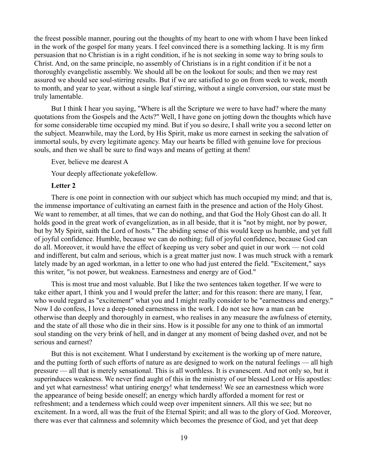the freest possible manner, pouring out the thoughts of my heart to one with whom I have been linked in the work of the gospel for many years. I feel convinced there is a something lacking. It is my firm persuasion that no Christian is in a right condition, if he is not seeking in some way to bring souls to Christ. And, on the same principle, no assembly of Christians is in a right condition if it be not a thoroughly evangelistic assembly. We should all be on the lookout for souls; and then we may rest assured we should see soul-stirring results. But if we are satisfied to go on from week to week, month to month, and year to year, without a single leaf stirring, without a single conversion, our state must be truly lamentable.

But I think I hear you saying, "Where is all the Scripture we were to have had? where the many quotations from the Gospels and the Acts?" Well, I have gone on jotting down the thoughts which have for some considerable time occupied my mind. But if you so desire, I shall write you a second letter on the subject. Meanwhile, may the Lord, by His Spirit, make us more earnest in seeking the salvation of immortal souls, by every legitimate agency. May our hearts be filled with genuine love for precious souls, and then we shall be sure to find ways and means of getting at them!

Ever, believe me dearest A

Your deeply affectionate yokefellow.

### **Letter 2**

There is one point in connection with our subject which has much occupied my mind; and that is, the immense importance of cultivating an earnest faith in the presence and action of the Holy Ghost. We want to remember, at all times, that we can do nothing, and that God the Holy Ghost can do all. It holds good in the great work of evangelization, as in all beside, that it is "not by might, nor by power, but by My Spirit, saith the Lord of hosts." The abiding sense of this would keep us humble, and yet full of joyful confidence. Humble, because we can do nothing; full of joyful confidence, because God can do all. Moreover, it would have the effect of keeping us very sober and quiet in our work — not cold and indifferent, but calm and serious, which is a great matter just now. I was much struck with a remark lately made by an aged workman, in a letter to one who had just entered the field. "Excitement," says this writer, "is not power, but weakness. Earnestness and energy are of God."

This is most true and most valuable. But I like the two sentences taken together. If we were to take either apart, I think you and I would prefer the latter; and for this reason: there are many, I fear, who would regard as "excitement" what you and I might really consider to be "earnestness and energy." Now I do confess, I love a deep-toned earnestness in the work. I do not see how a man can be otherwise than deeply and thoroughly in earnest, who realises in any measure the awfulness of eternity, and the state of all those who die in their sins. How is it possible for any one to think of an immortal soul standing on the very brink of hell, and in danger at any moment of being dashed over, and not be serious and earnest?

But this is not excitement. What I understand by excitement is the working up of mere nature, and the putting forth of such efforts of nature as are designed to work on the natural feelings — all high pressure — all that is merely sensational. This is all worthless. It is evanescent. And not only so, but it superinduces weakness. We never find aught of this in the ministry of our blessed Lord or His apostles: and yet what earnestness! what untiring energy! what tenderness! We see an earnestness which wore the appearance of being beside oneself; an energy which hardly afforded a moment for rest or refreshment; and a tenderness which could weep over impenitent sinners. All this we see; but no excitement. In a word, all was the fruit of the Eternal Spirit; and all was to the glory of God. Moreover, there was ever that calmness and solemnity which becomes the presence of God, and yet that deep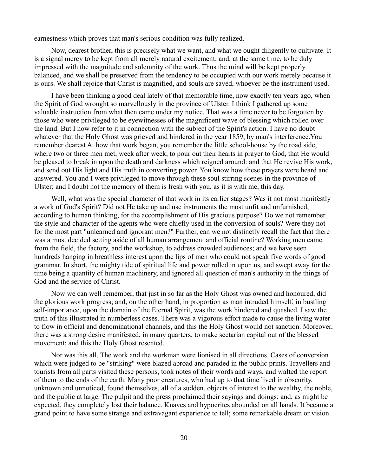earnestness which proves that man's serious condition was fully realized.

Now, dearest brother, this is precisely what we want, and what we ought diligently to cultivate. It is a signal mercy to be kept from all merely natural excitement; and, at the same time, to be duly impressed with the magnitude and solemnity of the work. Thus the mind will be kept properly balanced, and we shall be preserved from the tendency to be occupied with our work merely because it is ours. We shall rejoice that Christ is magnified, and souls are saved, whoever be the instrument used.

I have been thinking a good deal lately of that memorable time, now exactly ten years ago, when the Spirit of God wrought so marvellously in the province of Ulster. I think I gathered up some valuable instruction from what then came under my notice. That was a time never to be forgotten by those who were privileged to be eyewitnesses of the magnificent wave of blessing which rolled over the land. But I now refer to it in connection with the subject of the Spirit's action. I have no doubt whatever that the Holy Ghost was grieved and hindered in the year 1859, by man's interference.You remember dearest A. how that work began, you remember the little school-house by the road side, where two or three men met, week after week, to pour out their hearts in prayer to God, that He would be pleased to break in upon the death and darkness which reigned around: and that He revive His work, and send out His light and His truth in converting power. You know how these prayers were heard and answered. You and I were privileged to move through these soul stirring scenes in the province of Ulster; and I doubt not the memory of them is fresh with you, as it is with me, this day.

Well, what was the special character of that work in its earlier stages? Was it not most manifestly a work of God's Spirit? Did not He take up and use instruments the most unfit and unfurnished, according to human thinking, for the accomplishment of His gracious purpose? Do we not remember the style and character of the agents who were chiefly used in the conversion of souls? Were they not for the most part "unlearned and ignorant men?" Further, can we not distinctly recall the fact that there was a most decided setting aside of all human arrangement and official routine? Working men came from the field, the factory, and the workshop, to address crowded audiences; and we have seen hundreds hanging in breathless interest upon the lips of men who could not speak five words of good grammar. In short, the mighty tide of spiritual life and power rolled in upon us, and swept away for the time being a quantity of human machinery, and ignored all question of man's authority in the things of God and the service of Christ.

Now we can well remember, that just in so far as the Holy Ghost was owned and honoured, did the glorious work progress; and, on the other hand, in proportion as man intruded himself, in bustling self-importance, upon the domain of the Eternal Spirit, was the work hindered and quashed. I saw the truth of this illustrated in numberless cases. There was a vigorous effort made to cause the living water to flow in official and denominational channels, and this the Holy Ghost would not sanction. Moreover, there was a strong desire manifested, in many quarters, to make sectarian capital out of the blessed movement; and this the Holy Ghost resented.

Nor was this all. The work and the workman were lionised in all directions. Cases of conversion which were judged to be "striking" were blazed abroad and paraded in the public prints. Travellers and tourists from all parts visited these persons, took notes of their words and ways, and wafted the report of them to the ends of the earth. Many poor creatures, who had up to that time lived in obscurity, unknown and unnoticed, found themselves, all of a sudden, objects of interest to the wealthy, the noble, and the public at large. The pulpit and the press proclaimed their sayings and doings; and, as might be expected, they completely lost their balance. Knaves and hypocrites abounded on all hands. It became a grand point to have some strange and extravagant experience to tell; some remarkable dream or vision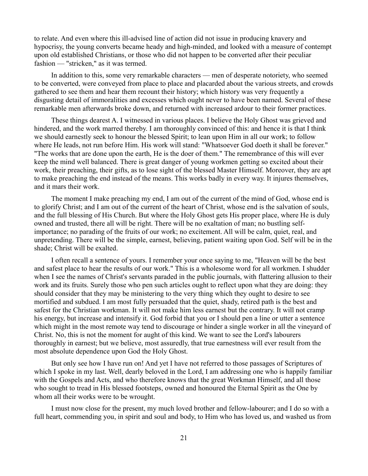to relate. And even where this ill-advised line of action did not issue in producing knavery and hypocrisy, the young converts became heady and high-minded, and looked with a measure of contempt upon old established Christians, or those who did not happen to be converted after their peculiar fashion — "stricken," as it was termed.

In addition to this, some very remarkable characters — men of desperate notoriety, who seemed to be converted, were conveyed from place to place and placarded about the various streets, and crowds gathered to see them and hear them recount their history; which history was very frequently a disgusting detail of immoralities and excesses which ought never to have been named. Several of these remarkable men afterwards broke down, and returned with increased ardour to their former practices.

These things dearest A. I witnessed in various places. I believe the Holy Ghost was grieved and hindered, and the work marred thereby. I am thoroughly convinced of this: and hence it is that I think we should earnestly seek to honour the blessed Spirit; to lean upon Him in all our work; to follow where He leads, not run before Him. His work will stand: "Whatsoever God doeth it shall be forever." "The works that are done upon the earth, He is the doer of them." The remembrance of this will ever keep the mind well balanced. There is great danger of young workmen getting so excited about their work, their preaching, their gifts, as to lose sight of the blessed Master Himself. Moreover, they are apt to make preaching the end instead of the means. This works badly in every way. It injures themselves, and it mars their work.

The moment I make preaching my end, I am out of the current of the mind of God, whose end is to glorify Christ; and I am out of the current of the heart of Christ, whose end is the salvation of souls, and the full blessing of His Church. But where the Holy Ghost gets His proper place, where He is duly owned and trusted, there all will be right. There will be no exaltation of man; no bustling selfimportance; no parading of the fruits of our work; no excitement. All will be calm, quiet, real, and unpretending. There will be the simple, earnest, believing, patient waiting upon God. Self will be in the shade; Christ will be exalted.

I often recall a sentence of yours. I remember your once saying to me, "Heaven will be the best and safest place to hear the results of our work." This is a wholesome word for all workmen. I shudder when I see the names of Christ's servants paraded in the public journals, with flattering allusion to their work and its fruits. Surely those who pen such articles ought to reflect upon what they are doing: they should consider that they may be ministering to the very thing which they ought to desire to see mortified and subdued. I am most fully persuaded that the quiet, shady, retired path is the best and safest for the Christian workman. It will not make him less earnest but the contrary. It will not cramp his energy, but increase and intensify it. God forbid that you or I should pen a line or utter a sentence which might in the most remote way tend to discourage or hinder a single worker in all the vineyard of Christ. No, this is not the moment for aught of this kind. We want to see the Lord's labourers thoroughly in earnest; but we believe, most assuredly, that true earnestness will ever result from the most absolute dependence upon God the Holy Ghost.

But only see how I have run on! And yet I have not referred to those passages of Scriptures of which I spoke in my last. Well, dearly beloved in the Lord, I am addressing one who is happily familiar with the Gospels and Acts, and who therefore knows that the great Workman Himself, and all those who sought to tread in His blessed footsteps, owned and honoured the Eternal Spirit as the One by whom all their works were to be wrought.

I must now close for the present, my much loved brother and fellow-labourer; and I do so with a full heart, commending you, in spirit and soul and body, to Him who has loved us, and washed us from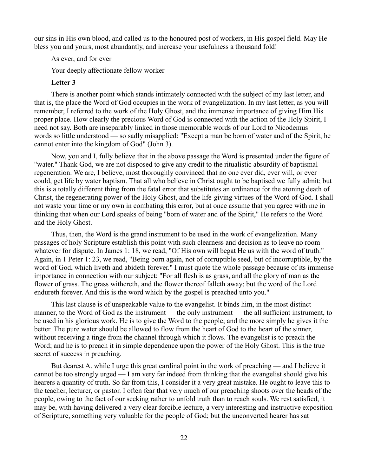our sins in His own blood, and called us to the honoured post of workers, in His gospel field. May He bless you and yours, most abundantly, and increase your usefulness a thousand fold!

As ever, and for ever

Your deeply affectionate fellow worker

### **Letter 3**

There is another point which stands intimately connected with the subject of my last letter, and that is, the place the Word of God occupies in the work of evangelization. In my last letter, as you will remember, I referred to the work of the Holy Ghost, and the immense importance of giving Him His proper place. How clearly the precious Word of God is connected with the action of the Holy Spirit, I need not say. Both are inseparably linked in those memorable words of our Lord to Nicodemus words so little understood — so sadly misapplied: "Except a man be born of water and of the Spirit, he cannot enter into the kingdom of God" (John 3).

Now, you and I, fully believe that in the above passage the Word is presented under the figure of "water." Thank God, we are not disposed to give any credit to the ritualistic absurdity of baptismal regeneration. We are, I believe, most thoroughly convinced that no one ever did, ever will, or ever could, get life by water baptism. That all who believe in Christ ought to be baptised we fully admit; but this is a totally different thing from the fatal error that substitutes an ordinance for the atoning death of Christ, the regenerating power of the Holy Ghost, and the life-giving virtues of the Word of God. I shall not waste your time or my own in combating this error, but at once assume that you agree with me in thinking that when our Lord speaks of being "born of water and of the Spirit," He refers to the Word and the Holy Ghost.

Thus, then, the Word is the grand instrument to be used in the work of evangelization. Many passages of holy Scripture establish this point with such clearness and decision as to leave no room whatever for dispute. In James 1: 18, we read, "Of His own will begat He us with the word of truth." Again, in 1 Peter 1: 23, we read, "Being born again, not of corruptible seed, but of incorruptible, by the word of God, which liveth and abideth forever." I must quote the whole passage because of its immense importance in connection with our subject: "For all flesh is as grass, and all the glory of man as the flower of grass. The grass withereth, and the flower thereof falleth away; but the word of the Lord endureth forever. And this is the word which by the gospel is preached unto you."

This last clause is of unspeakable value to the evangelist. It binds him, in the most distinct manner, to the Word of God as the instrument — the only instrument — the all sufficient instrument, to be used in his glorious work. He is to give the Word to the people; and the more simply he gives it the better. The pure water should be allowed to flow from the heart of God to the heart of the sinner, without receiving a tinge from the channel through which it flows. The evangelist is to preach the Word; and he is to preach it in simple dependence upon the power of the Holy Ghost. This is the true secret of success in preaching.

But dearest A. while I urge this great cardinal point in the work of preaching — and I believe it cannot be too strongly urged — I am very far indeed from thinking that the evangelist should give his hearers a quantity of truth. So far from this, I consider it a very great mistake. He ought to leave this to the teacher, lecturer, or pastor. I often fear that very much of our preaching shoots over the heads of the people, owing to the fact of our seeking rather to unfold truth than to reach souls. We rest satisfied, it may be, with having delivered a very clear forcible lecture, a very interesting and instructive exposition of Scripture, something very valuable for the people of God; but the unconverted hearer has sat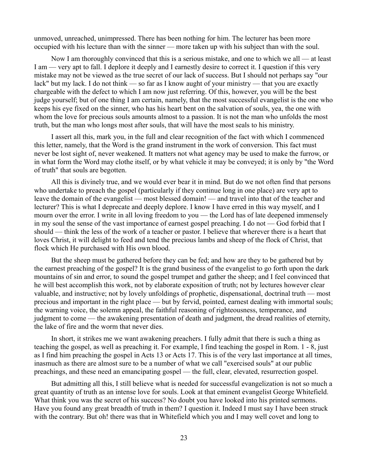unmoved, unreached, unimpressed. There has been nothing for him. The lecturer has been more occupied with his lecture than with the sinner — more taken up with his subject than with the soul.

Now I am thoroughly convinced that this is a serious mistake, and one to which we all — at least I am — very apt to fall. I deplore it deeply and I earnestly desire to correct it. I question if this very mistake may not be viewed as the true secret of our lack of success. But I should not perhaps say "our lack" but my lack. I do not think — so far as I know aught of your ministry — that you are exactly chargeable with the defect to which I am now just referring. Of this, however, you will be the best judge yourself; but of one thing I am certain, namely, that the most successful evangelist is the one who keeps his eye fixed on the sinner, who has his heart bent on the salvation of souls, yea, the one with whom the love for precious souls amounts almost to a passion. It is not the man who unfolds the most truth, but the man who longs most after souls, that will have the most seals to his ministry.

I assert all this, mark you, in the full and clear recognition of the fact with which I commenced this letter, namely, that the Word is the grand instrument in the work of conversion. This fact must never be lost sight of, never weakened. It matters not what agency may be used to make the furrow, or in what form the Word may clothe itself, or by what vehicle it may be conveyed; it is only by "the Word of truth" that souls are begotten.

All this is divinely true, and we would ever bear it in mind. But do we not often find that persons who undertake to preach the gospel (particularly if they continue long in one place) are very apt to leave the domain of the evangelist — most blessed domain! — and travel into that of the teacher and lecturer? This is what I deprecate and deeply deplore. I know I have erred in this way myself, and I mourn over the error. I write in all loving freedom to you — the Lord has of late deepened immensely in my soul the sense of the vast importance of earnest gospel preaching. I do not — God forbid that I should — think the less of the work of a teacher or pastor. I believe that wherever there is a heart that loves Christ, it will delight to feed and tend the precious lambs and sheep of the flock of Christ, that flock which He purchased with His own blood.

But the sheep must be gathered before they can be fed; and how are they to be gathered but by the earnest preaching of the gospel? It is the grand business of the evangelist to go forth upon the dark mountains of sin and error, to sound the gospel trumpet and gather the sheep; and I feel convinced that he will best accomplish this work, not by elaborate exposition of truth; not by lectures however clear valuable, and instructive; not by lovely unfoldings of prophetic, dispensational, doctrinal truth — most precious and important in the right place — but by fervid, pointed, earnest dealing with immortal souls; the warning voice, the solemn appeal, the faithful reasoning of righteousness, temperance, and judgment to come — the awakening presentation of death and judgment, the dread realities of eternity, the lake of fire and the worm that never dies.

In short, it strikes me we want awakening preachers. I fully admit that there is such a thing as teaching the gospel, as well as preaching it. For example, I find teaching the gospel in Rom. 1 - 8, just as I find him preaching the gospel in Acts 13 or Acts 17. This is of the very last importance at all times, inasmuch as there are almost sure to be a number of what we call "exercised souls" at our public preachings, and these need an emancipating gospel — the full, clear, elevated, resurrection gospel.

But admitting all this, I still believe what is needed for successful evangelization is not so much a great quantity of truth as an intense love for souls. Look at that eminent evangelist George Whitefield. What think you was the secret of his success? No doubt you have looked into his printed sermons. Have you found any great breadth of truth in them? I question it. Indeed I must say I have been struck with the contrary. But oh! there was that in Whitefield which you and I may well covet and long to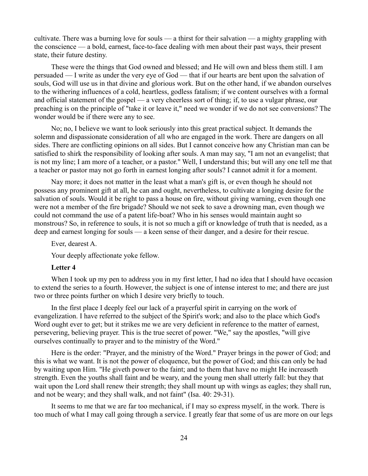cultivate. There was a burning love for souls — a thirst for their salvation — a mighty grappling with the conscience — a bold, earnest, face-to-face dealing with men about their past ways, their present state, their future destiny.

These were the things that God owned and blessed; and He will own and bless them still. I am persuaded — I write as under the very eye of God — that if our hearts are bent upon the salvation of souls, God will use us in that divine and glorious work. But on the other hand, if we abandon ourselves to the withering influences of a cold, heartless, godless fatalism; if we content ourselves with a formal and official statement of the gospel — a very cheerless sort of thing; if, to use a vulgar phrase, our preaching is on the principle of "take it or leave it," need we wonder if we do not see conversions? The wonder would be if there were any to see.

No; no, I believe we want to look seriously into this great practical subject. It demands the solemn and dispassionate consideration of all who are engaged in the work. There are dangers on all sides. There are conflicting opinions on all sides. But I cannot conceive how any Christian man can be satisfied to shirk the responsibility of looking after souls. A man may say, "I am not an evangelist; that is not my line; I am more of a teacher, or a pastor." Well, I understand this; but will any one tell me that a teacher or pastor may not go forth in earnest longing after souls? I cannot admit it for a moment.

Nay more; it does not matter in the least what a man's gift is, or even though he should not possess any prominent gift at all, he can and ought, nevertheless, to cultivate a longing desire for the salvation of souls. Would it be right to pass a house on fire, without giving warning, even though one were not a member of the fire brigade? Should we not seek to save a drowning man, even though we could not command the use of a patent life-boat? Who in his senses would maintain aught so monstrous? So, in reference to souls, it is not so much a gift or knowledge of truth that is needed, as a deep and earnest longing for souls — a keen sense of their danger, and a desire for their rescue.

Ever, dearest A.

Your deeply affectionate yoke fellow.

## **Letter 4**

When I took up my pen to address you in my first letter, I had no idea that I should have occasion to extend the series to a fourth. However, the subject is one of intense interest to me; and there are just two or three points further on which I desire very briefly to touch.

In the first place I deeply feel our lack of a prayerful spirit in carrying on the work of evangelization. I have referred to the subject of the Spirit's work; and also to the place which God's Word ought ever to get; but it strikes me we are very deficient in reference to the matter of earnest, persevering, believing prayer. This is the true secret of power. "We," say the apostles, "will give ourselves continually to prayer and to the ministry of the Word."

Here is the order: "Prayer, and the ministry of the Word." Prayer brings in the power of God; and this is what we want. It is not the power of eloquence, but the power of God; and this can only be had by waiting upon Him. "He giveth power to the faint; and to them that have no might He increaseth strength. Even the youths shall faint and be weary, and the young men shall utterly fall: but they that wait upon the Lord shall renew their strength; they shall mount up with wings as eagles; they shall run, and not be weary; and they shall walk, and not faint" (Isa. 40: 29-31).

It seems to me that we are far too mechanical, if I may so express myself, in the work. There is too much of what I may call going through a service. I greatly fear that some of us are more on our legs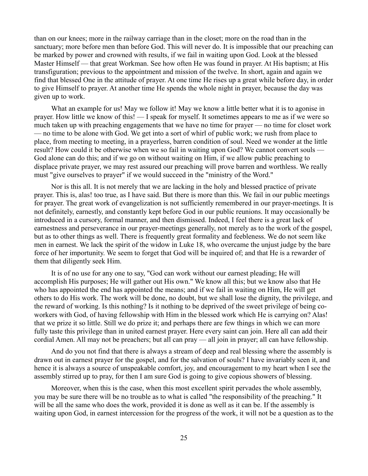than on our knees; more in the railway carriage than in the closet; more on the road than in the sanctuary; more before men than before God. This will never do. It is impossible that our preaching can be marked by power and crowned with results, if we fail in waiting upon God. Look at the blessed Master Himself — that great Workman. See how often He was found in prayer. At His baptism; at His transfiguration; previous to the appointment and mission of the twelve. In short, again and again we find that blessed One in the attitude of prayer. At one time He rises up a great while before day, in order to give Himself to prayer. At another time He spends the whole night in prayer, because the day was given up to work.

What an example for us! May we follow it! May we know a little better what it is to agonise in prayer. How little we know of this! — I speak for myself. It sometimes appears to me as if we were so much taken up with preaching engagements that we have no time for prayer — no time for closet work — no time to be alone with God. We get into a sort of whirl of public work; we rush from place to place, from meeting to meeting, in a prayerless, barren condition of soul. Need we wonder at the little result? How could it be otherwise when we so fail in waiting upon God? We cannot convert souls — God alone can do this; and if we go on without waiting on Him, if we allow public preaching to displace private prayer, we may rest assured our preaching will prove barren and worthless. We really must "give ourselves to prayer" if we would succeed in the "ministry of the Word."

Nor is this all. It is not merely that we are lacking in the holy and blessed practice of private prayer. This is, alas! too true, as I have said. But there is more than this. We fail in our public meetings for prayer. The great work of evangelization is not sufficiently remembered in our prayer-meetings. It is not definitely, earnestly, and constantly kept before God in our public reunions. It may occasionally be introduced in a cursory, formal manner, and then dismissed. Indeed, I feel there is a great lack of earnestness and perseverance in our prayer-meetings generally, not merely as to the work of the gospel, but as to other things as well. There is frequently great formality and feebleness. We do not seem like men in earnest. We lack the spirit of the widow in Luke 18, who overcame the unjust judge by the bare force of her importunity. We seem to forget that God will be inquired of; and that He is a rewarder of them that diligently seek Him.

It is of no use for any one to say, "God can work without our earnest pleading; He will accomplish His purposes; He will gather out His own." We know all this; but we know also that He who has appointed the end has appointed the means; and if we fail in waiting on Him, He will get others to do His work. The work will be done, no doubt, but we shall lose the dignity, the privilege, and the reward of working. Is this nothing? Is it nothing to be deprived of the sweet privilege of being coworkers with God, of having fellowship with Him in the blessed work which He is carrying on? Alas! that we prize it so little. Still we do prize it; and perhaps there are few things in which we can more fully taste this privilege than in united earnest prayer. Here every saint can join. Here all can add their cordial Amen. All may not be preachers; but all can pray — all join in prayer; all can have fellowship.

And do you not find that there is always a stream of deep and real blessing where the assembly is drawn out in earnest prayer for the gospel, and for the salvation of souls? I have invariably seen it, and hence it is always a source of unspeakable comfort, joy, and encouragement to my heart when I see the assembly stirred up to pray, for then I am sure God is going to give copious showers of blessing.

Moreover, when this is the case, when this most excellent spirit pervades the whole assembly, you may be sure there will be no trouble as to what is called "the responsibility of the preaching." It will be all the same who does the work, provided it is done as well as it can be. If the assembly is waiting upon God, in earnest intercession for the progress of the work, it will not be a question as to the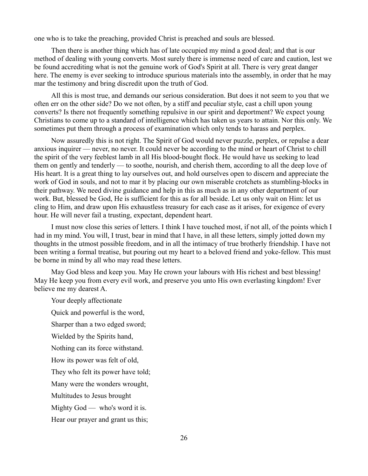one who is to take the preaching, provided Christ is preached and souls are blessed.

Then there is another thing which has of late occupied my mind a good deal; and that is our method of dealing with young converts. Most surely there is immense need of care and caution, lest we be found accrediting what is not the genuine work of God's Spirit at all. There is very great danger here. The enemy is ever seeking to introduce spurious materials into the assembly, in order that he may mar the testimony and bring discredit upon the truth of God.

All this is most true, and demands our serious consideration. But does it not seem to you that we often err on the other side? Do we not often, by a stiff and peculiar style, cast a chill upon young converts? Is there not frequently something repulsive in our spirit and deportment? We expect young Christians to come up to a standard of intelligence which has taken us years to attain. Nor this only. We sometimes put them through a process of examination which only tends to harass and perplex.

Now assuredly this is not right. The Spirit of God would never puzzle, perplex, or repulse a dear anxious inquirer — never, no never. It could never be according to the mind or heart of Christ to chill the spirit of the very feeblest lamb in all His blood-bought flock. He would have us seeking to lead them on gently and tenderly — to soothe, nourish, and cherish them, according to all the deep love of His heart. It is a great thing to lay ourselves out, and hold ourselves open to discern and appreciate the work of God in souls, and not to mar it by placing our own miserable crotchets as stumbling-blocks in their pathway. We need divine guidance and help in this as much as in any other department of our work. But, blessed be God, He is sufficient for this as for all beside. Let us only wait on Him: let us cling to Him, and draw upon His exhaustless treasury for each case as it arises, for exigence of every hour. He will never fail a trusting, expectant, dependent heart.

I must now close this series of letters. I think I have touched most, if not all, of the points which I had in my mind. You will, I trust, bear in mind that I have, in all these letters, simply jotted down my thoughts in the utmost possible freedom, and in all the intimacy of true brotherly friendship. I have not been writing a formal treatise, but pouring out my heart to a beloved friend and yoke-fellow. This must be borne in mind by all who may read these letters.

May God bless and keep you. May He crown your labours with His richest and best blessing! May He keep you from every evil work, and preserve you unto His own everlasting kingdom! Ever believe me my dearest A.

Your deeply affectionate

Quick and powerful is the word,

Sharper than a two edged sword;

Wielded by the Spirits hand,

Nothing can its force withstand.

How its power was felt of old,

They who felt its power have told;

Many were the wonders wrought,

Multitudes to Jesus brought

Mighty God — who's word it is.

Hear our prayer and grant us this;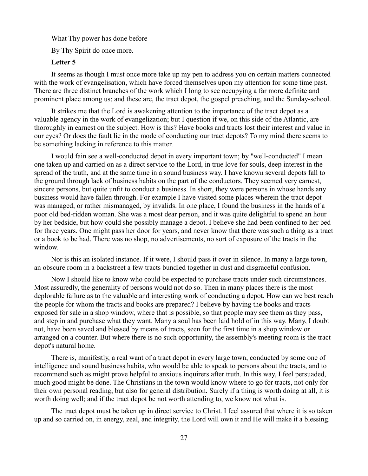What Thy power has done before

By Thy Spirit do once more.

#### **Letter 5**

It seems as though I must once more take up my pen to address you on certain matters connected with the work of evangelisation, which have forced themselves upon my attention for some time past. There are three distinct branches of the work which I long to see occupying a far more definite and prominent place among us; and these are, the tract depot, the gospel preaching, and the Sunday-school.

It strikes me that the Lord is awakening attention to the importance of the tract depot as a valuable agency in the work of evangelization; but I question if we, on this side of the Atlantic, are thoroughly in earnest on the subject. How is this? Have books and tracts lost their interest and value in our eyes? Or does the fault lie in the mode of conducting our tract depots? To my mind there seems to be something lacking in reference to this matter.

I would fain see a well-conducted depot in every important town; by "well-conducted" I mean one taken up and carried on as a direct service to the Lord, in true love for souls, deep interest in the spread of the truth, and at the same time in a sound business way. I have known several depots fall to the ground through lack of business habits on the part of the conductors. They seemed very earnest, sincere persons, but quite unfit to conduct a business. In short, they were persons in whose hands any business would have fallen through. For example I have visited some places wherein the tract depot was managed, or rather mismanaged, by invalids. In one place, I found the business in the hands of a poor old bed-ridden woman. She was a most dear person, and it was quite delightful to spend an hour by her bedside, but how could she possibly manage a depot. I believe she had been confined to her bed for three years. One might pass her door for years, and never know that there was such a thing as a tract or a book to be had. There was no shop, no advertisements, no sort of exposure of the tracts in the window.

Nor is this an isolated instance. If it were, I should pass it over in silence. In many a large town, an obscure room in a backstreet a few tracts bundled together in dust and disgraceful confusion.

Now I should like to know who could be expected to purchase tracts under such circumstances. Most assuredly, the generality of persons would not do so. Then in many places there is the most deplorable failure as to the valuable and interesting work of conducting a depot. How can we best reach the people for whom the tracts and books are prepared? I believe by having the books and tracts exposed for sale in a shop window, where that is possible, so that people may see them as they pass, and step in and purchase what they want. Many a soul has been laid hold of in this way. Many, I doubt not, have been saved and blessed by means of tracts, seen for the first time in a shop window or arranged on a counter. But where there is no such opportunity, the assembly's meeting room is the tract depot's natural home.

There is, manifestly, a real want of a tract depot in every large town, conducted by some one of intelligence and sound business habits, who would be able to speak to persons about the tracts, and to recommend such as might prove helpful to anxious inquirers after truth. In this way, I feel persuaded, much good might be done. The Christians in the town would know where to go for tracts, not only for their own personal reading, but also for general distribution. Surely if a thing is worth doing at all, it is worth doing well; and if the tract depot be not worth attending to, we know not what is.

The tract depot must be taken up in direct service to Christ. I feel assured that where it is so taken up and so carried on, in energy, zeal, and integrity, the Lord will own it and He will make it a blessing.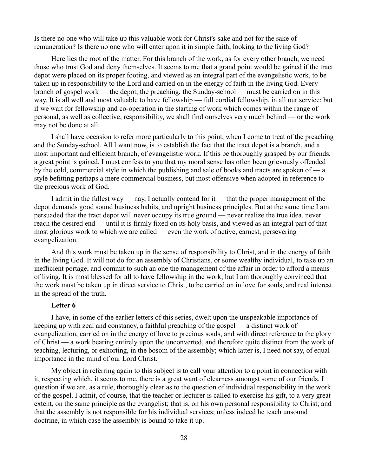Is there no one who will take up this valuable work for Christ's sake and not for the sake of remuneration? Is there no one who will enter upon it in simple faith, looking to the living God?

Here lies the root of the matter. For this branch of the work, as for every other branch, we need those who trust God and deny themselves. It seems to me that a grand point would be gained if the tract depot were placed on its proper footing, and viewed as an integral part of the evangelistic work, to be taken up in responsibility to the Lord and carried on in the energy of faith in the living God. Every branch of gospel work — the depot, the preaching, the Sunday-school — must be carried on in this way. It is all well and most valuable to have fellowship — full cordial fellowship, in all our service; but if we wait for fellowship and co-operation in the starting of work which comes within the range of personal, as well as collective, responsibility, we shall find ourselves very much behind — or the work may not be done at all.

I shall have occasion to refer more particularly to this point, when I come to treat of the preaching and the Sunday-school. All I want now, is to establish the fact that the tract depot is a branch, and a most important and efficient branch, of evangelistic work. If this be thoroughly grasped by our friends, a great point is gained. I must confess to you that my moral sense has often been grievously offended by the cold, commercial style in which the publishing and sale of books and tracts are spoken of — a style befitting perhaps a mere commercial business, but most offensive when adopted in reference to the precious work of God.

I admit in the fullest way — nay, I actually contend for it — that the proper management of the depot demands good sound business habits, and upright business principles. But at the same time I am persuaded that the tract depot will never occupy its true ground — never realize the true idea, never reach the desired end — until it is firmly fixed on its holy basis, and viewed as an integral part of that most glorious work to which we are called — even the work of active, earnest, persevering evangelization.

And this work must be taken up in the sense of responsibility to Christ, and in the energy of faith in the living God. It will not do for an assembly of Christians, or some wealthy individual, to take up an inefficient portage, and commit to such an one the management of the affair in order to afford a means of living. It is most blessed for all to have fellowship in the work; but I am thoroughly convinced that the work must be taken up in direct service to Christ, to be carried on in love for souls, and real interest in the spread of the truth.

### **Letter 6**

I have, in some of the earlier letters of this series, dwelt upon the unspeakable importance of keeping up with zeal and constancy, a faithful preaching of the gospel — a distinct work of evangelization, carried on in the energy of love to precious souls, and with direct reference to the glory of Christ — a work bearing entirely upon the unconverted, and therefore quite distinct from the work of teaching, lecturing, or exhorting, in the bosom of the assembly; which latter is, I need not say, of equal importance in the mind of our Lord Christ.

My object in referring again to this subject is to call your attention to a point in connection with it, respecting which, it seems to me, there is a great want of clearness amongst some of our friends. I question if we are, as a rule, thoroughly clear as to the question of individual responsibility in the work of the gospel. I admit, of course, that the teacher or lecturer is called to exercise his gift, to a very great extent, on the same principle as the evangelist; that is, on his own personal responsibility to Christ; and that the assembly is not responsible for his individual services; unless indeed he teach unsound doctrine, in which case the assembly is bound to take it up.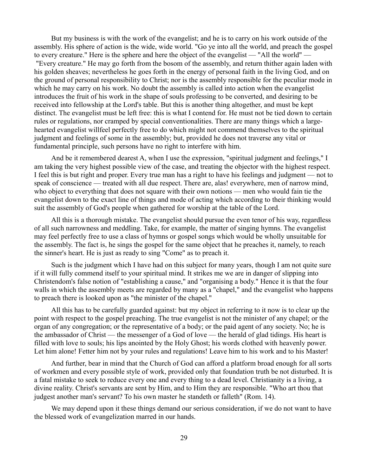But my business is with the work of the evangelist; and he is to carry on his work outside of the assembly. His sphere of action is the wide, wide world. "Go ye into all the world, and preach the gospel to every creature." Here is the sphere and here the object of the evangelist — "All the world" — "Every creature." He may go forth from the bosom of the assembly, and return thither again laden with his golden sheaves; nevertheless he goes forth in the energy of personal faith in the living God, and on the ground of personal responsibility to Christ; nor is the assembly responsible for the peculiar mode in which he may carry on his work. No doubt the assembly is called into action when the evangelist introduces the fruit of his work in the shape of souls professing to be converted, and desiring to be received into fellowship at the Lord's table. But this is another thing altogether, and must be kept distinct. The evangelist must be left free: this is what I contend for. He must not be tied down to certain rules or regulations, nor cramped by special conventionalities. There are many things which a largehearted evangelist willfeel perfectly free to do which might not commend themselves to the spiritual judgment and feelings of some in the assembly; but, provided he does not traverse any vital or fundamental principle, such persons have no right to interfere with him.

And be it remembered dearest A, when I use the expression, "spiritual judgment and feelings," I am taking the very highest possible view of the case, and treating the objector with the highest respect. I feel this is but right and proper. Every true man has a right to have his feelings and judgment — not to speak of conscience — treated with all due respect. There are, alas! everywhere, men of narrow mind, who object to everything that does not square with their own notions — men who would fain tie the evangelist down to the exact line of things and mode of acting which according to their thinking would suit the assembly of God's people when gathered for worship at the table of the Lord.

All this is a thorough mistake. The evangelist should pursue the even tenor of his way, regardless of all such narrowness and meddling. Take, for example, the matter of singing hymns. The evangelist may feel perfectly free to use a class of hymns or gospel songs which would be wholly unsuitable for the assembly. The fact is, he sings the gospel for the same object that he preaches it, namely, to reach the sinner's heart. He is just as ready to sing "Come" as to preach it.

Such is the judgment which I have had on this subject for many years, though I am not quite sure if it will fully commend itself to your spiritual mind. It strikes me we are in danger of slipping into Christendom's false notion of "establishing a cause," and "organising a body." Hence it is that the four walls in which the assembly meets are regarded by many as a "chapel," and the evangelist who happens to preach there is looked upon as "the minister of the chapel."

All this has to be carefully guarded against: but my object in referring to it now is to clear up the point with respect to the gospel preaching. The true evangelist is not the minister of any chapel; or the organ of any congregation; or the representative of a body; or the paid agent of any society. No; he is the ambassador of Christ — the messenger of a God of love — the herald of glad tidings. His heart is filled with love to souls; his lips anointed by the Holy Ghost; his words clothed with heavenly power. Let him alone! Fetter him not by your rules and regulations! Leave him to his work and to his Master!

And further, bear in mind that the Church of God can afford a platform broad enough for all sorts of workmen and every possible style of work, provided only that foundation truth be not disturbed. It is a fatal mistake to seek to reduce every one and every thing to a dead level. Christianity is a living, a divine reality. Christ's servants are sent by Him, and to Him they are responsible. "Who art thou that judgest another man's servant? To his own master he standeth or falleth" (Rom. 14).

We may depend upon it these things demand our serious consideration, if we do not want to have the blessed work of evangelization marred in our hands.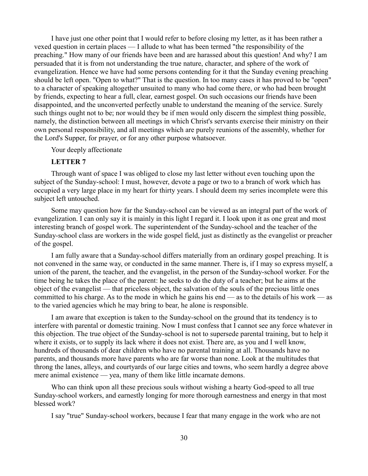I have just one other point that I would refer to before closing my letter, as it has been rather a vexed question in certain places — I allude to what has been termed "the responsibility of the preaching." How many of our friends have been and are harassed about this question! And why? I am persuaded that it is from not understanding the true nature, character, and sphere of the work of evangelization. Hence we have had some persons contending for it that the Sunday evening preaching should be left open. "Open to what?" That is the question. In too many cases it has proved to be "open" to a character of speaking altogether unsuited to many who had come there, or who had been brought by friends, expecting to hear a full, clear, earnest gospel. On such occasions our friends have been disappointed, and the unconverted perfectly unable to understand the meaning of the service. Surely such things ought not to be; nor would they be if men would only discern the simplest thing possible, namely, the distinction between all meetings in which Christ's servants exercise their ministry on their own personal responsibility, and all meetings which are purely reunions of the assembly, whether for the Lord's Supper, for prayer, or for any other purpose whatsoever.

Your deeply affectionate

### **LETTER 7**

Through want of space I was obliged to close my last letter without even touching upon the subject of the Sunday-school: I must, however, devote a page or two to a branch of work which has occupied a very large place in my heart for thirty years. I should deem my series incomplete were this subject left untouched.

Some may question how far the Sunday-school can be viewed as an integral part of the work of evangelization. I can only say it is mainly in this light I regard it. I look upon it as one great and most interesting branch of gospel work. The superintendent of the Sunday-school and the teacher of the Sunday-school class are workers in the wide gospel field, just as distinctly as the evangelist or preacher of the gospel.

I am fully aware that a Sunday-school differs materially from an ordinary gospel preaching. It is not convened in the same way, or conducted in the same manner. There is, if I may so express myself, a union of the parent, the teacher, and the evangelist, in the person of the Sunday-school worker. For the time being he takes the place of the parent: he seeks to do the duty of a teacher; but he aims at the object of the evangelist — that priceless object, the salvation of the souls of the precious little ones committed to his charge. As to the mode in which he gains his end — as to the details of his work — as to the varied agencies which he may bring to bear, he alone is responsible.

I am aware that exception is taken to the Sunday-school on the ground that its tendency is to interfere with parental or domestic training. Now I must confess that I cannot see any force whatever in this objection. The true object of the Sunday-school is not to supersede parental training, but to help it where it exists, or to supply its lack where it does not exist. There are, as you and I well know, hundreds of thousands of dear children who have no parental training at all. Thousands have no parents, and thousands more have parents who are far worse than none. Look at the multitudes that throng the lanes, alleys, and courtyards of our large cities and towns, who seem hardly a degree above mere animal existence — yea, many of them like little incarnate demons.

Who can think upon all these precious souls without wishing a hearty God-speed to all true Sunday-school workers, and earnestly longing for more thorough earnestness and energy in that most blessed work?

I say "true" Sunday-school workers, because I fear that many engage in the work who are not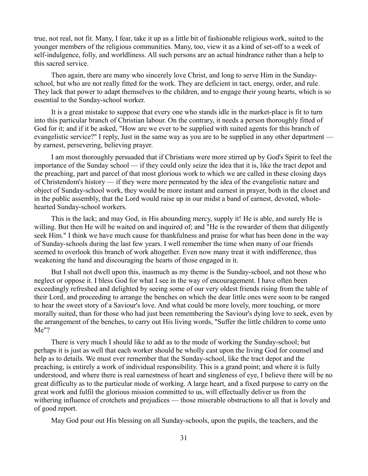true, not real, not fit. Many, I fear, take it up as a little bit of fashionable religious work, suited to the younger members of the religious communities. Many, too, view it as a kind of set-off to a week of self-indulgence, folly, and worldliness. All such persons are an actual hindrance rather than a help to this sacred service.

Then again, there are many who sincerely love Christ, and long to serve Him in the Sundayschool, but who are not really fitted for the work. They are deficient in tact, energy, order, and rule. They lack that power to adapt themselves to the children, and to engage their young hearts, which is so essential to the Sunday-school worker.

It is a great mistake to suppose that every one who stands idle in the market-place is fit to turn into this particular branch of Christian labour. On the contrary, it needs a person thoroughly fitted of God for it; and if it be asked, "How are we ever to be supplied with suited agents for this branch of evangelistic service?" I reply, Just in the same way as you are to be supplied in any other department by earnest, persevering, believing prayer.

I am most thoroughly persuaded that if Christians were more stirred up by God's Spirit to feel the importance of the Sunday school — if they could only seize the idea that it is, like the tract depot and the preaching, part and parcel of that most glorious work to which we are called in these closing days of Christendom's history — if they were more permeated by the idea of the evangelistic nature and object of Sunday-school work, they would be more instant and earnest in prayer, both in the closet and in the public assembly, that the Lord would raise up in our midst a band of earnest, devoted, wholehearted Sunday-school workers.

This is the lack; and may God, in His abounding mercy, supply it! He is able, and surely He is willing. But then He will be waited on and inquired of; and "He is the rewarder of them that diligently seek Him." I think we have much cause for thankfulness and praise for what has been done in the way of Sunday-schools during the last few years. I well remember the time when many of our friends seemed to overlook this branch of work altogether. Even now many treat it with indifference, thus weakening the hand and discouraging the hearts of those engaged in it.

But I shall not dwell upon this, inasmuch as my theme is the Sunday-school, and not those who neglect or oppose it. I bless God for what I see in the way of encouragement. I have often been exceedingly refreshed and delighted by seeing some of our very oldest friends rising from the table of their Lord, and proceeding to arrange the benches on which the dear little ones were soon to be ranged to hear the sweet story of a Saviour's love. And what could be more lovely, more touching, or more morally suited, than for those who had just been remembering the Saviour's dying love to seek, even by the arrangement of the benches, to carry out His living words, "Suffer the little children to come unto Me"?

There is very much I should like to add as to the mode of working the Sunday-school; but perhaps it is just as well that each worker should be wholly cast upon the living God for counsel and help as to details. We must ever remember that the Sunday-school, like the tract depot and the preaching, is entirely a work of individual responsibility. This is a grand point; and where it is fully understood, and where there is real earnestness of heart and singleness of eye, I believe there will be no great difficulty as to the particular mode of working. A large heart, and a fixed purpose to carry on the great work and fulfil the glorious mission committed to us, will effectually deliver us from the withering influence of crotchets and prejudices — those miserable obstructions to all that is lovely and of good report.

May God pour out His blessing on all Sunday-schools, upon the pupils, the teachers, and the